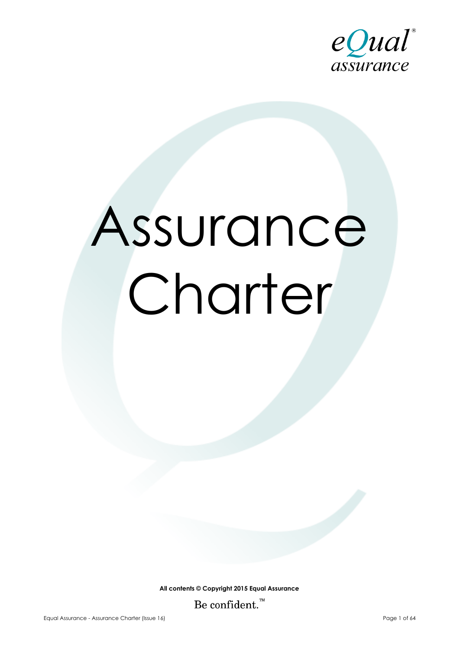

# Assurance Charter

**All contents © Copyright 2015 Equal Assurance** Be confident.<sup>™</sup>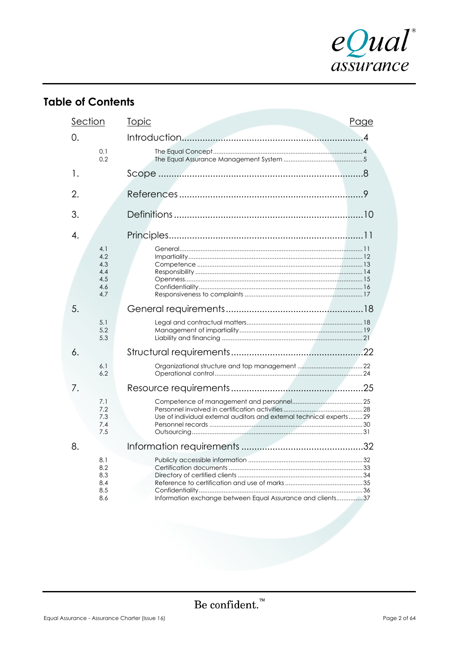

# **Table of Contents**

| Section |                                               | <b>Topic</b>                                                         | Page |
|---------|-----------------------------------------------|----------------------------------------------------------------------|------|
| 0.      |                                               |                                                                      |      |
|         | 0.1<br>0.2                                    |                                                                      |      |
| 1.      |                                               |                                                                      |      |
| 2.      |                                               |                                                                      |      |
| 3.      |                                               |                                                                      |      |
| 4.      |                                               |                                                                      |      |
|         | 4.1<br>4.2<br>4.3<br>4.4<br>4.5<br>4.6<br>4.7 |                                                                      |      |
| 5.      |                                               |                                                                      |      |
|         | 5.1<br>5.2<br>5.3                             |                                                                      |      |
| 6.      |                                               |                                                                      |      |
|         | 6.1<br>6.2                                    |                                                                      |      |
| 7.      |                                               |                                                                      |      |
|         | 7.1<br>7.2<br>7.3<br>7.4<br>7.5               | Use of individual external auditors and external technical experts29 |      |
| 8.      |                                               |                                                                      |      |
|         | 8.1<br>8.2<br>8.3<br>8.4<br>8.5<br>8.6        | Information exchange between Equal Assurance and clients37           |      |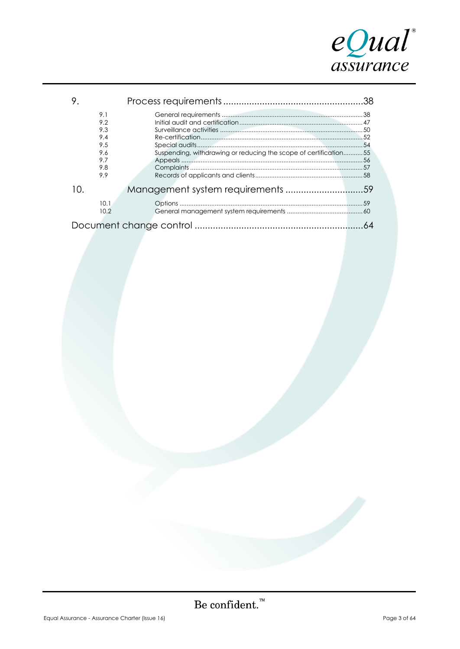

|     | 9.1<br>9.2<br>9.3<br>9.4<br>9.5<br>9.6 | Suspending, withdrawing or reducing the scope of certification55 |  |  |  |  |  |
|-----|----------------------------------------|------------------------------------------------------------------|--|--|--|--|--|
|     | 9.7<br>9.8<br>9.9                      |                                                                  |  |  |  |  |  |
| 10. |                                        |                                                                  |  |  |  |  |  |
|     | 10.1<br>10.2                           |                                                                  |  |  |  |  |  |
|     |                                        |                                                                  |  |  |  |  |  |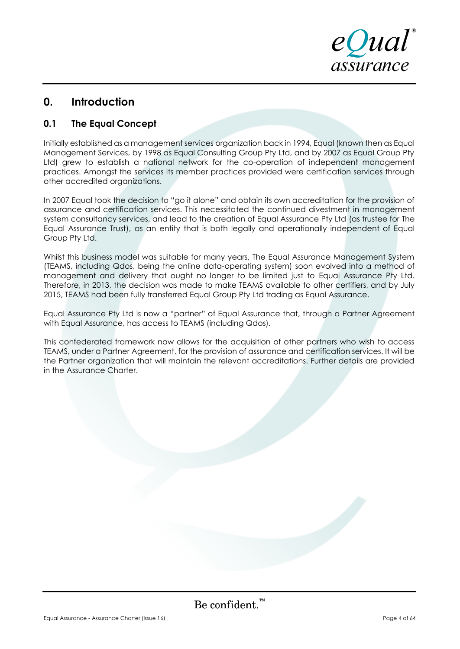

# **0. Introduction**

# **0.1 The Equal Concept**

Initially established as a management services organization back in 1994, Equal (known then as Equal Management Services, by 1998 as Equal Consulting Group Pty Ltd, and by 2007 as Equal Group Pty Ltd) grew to establish a national network for the co-operation of independent management practices. Amongst the services its member practices provided were certification services through other accredited organizations.

In 2007 Equal took the decision to "go it alone" and obtain its own accreditation for the provision of assurance and certification services. This necessitated the continued divestment in management system consultancy services, and lead to the creation of Equal Assurance Pty Ltd (as trustee for The Equal Assurance Trust), as an entity that is both legally and operationally independent of Equal Group Pty Ltd.

Whilst this business model was suitable for many years, The Equal Assurance Management System (TEAMS, including Qdos, being the online data-operating system) soon evolved into a method of management and delivery that ought no longer to be limited just to Equal Assurance Pty Ltd. Therefore, in 2013, the decision was made to make TEAMS available to other certifiers, and by July 2015, TEAMS had been fully transferred Equal Group Pty Ltd trading as Equal Assurance.

Equal Assurance Pty Ltd is now a "partner" of Equal Assurance that, through a Partner Agreement with Equal Assurance, has access to TEAMS (including Qdos).

This confederated framework now allows for the acquisition of other partners who wish to access TEAMS, under a Partner Agreement, for the provision of assurance and certification services. It will be the Partner organization that will maintain the relevant accreditations. Further details are provided in the Assurance Charter.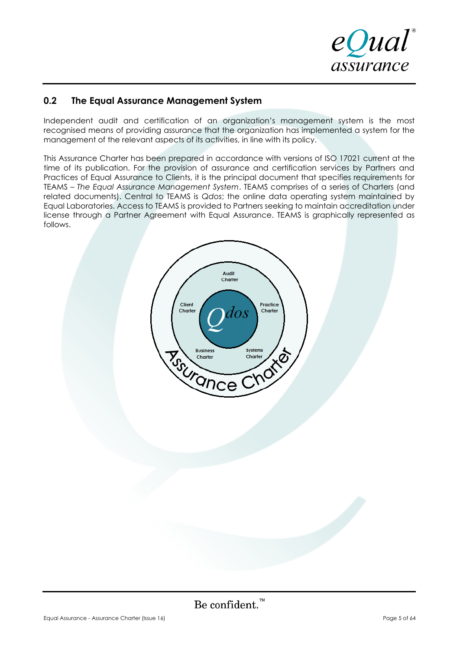

# **0.2 The Equal Assurance Management System**

Independent audit and certification of an organization's management system is the most recognised means of providing assurance that the organization has implemented a system for the management of the relevant aspects of its activities, in line with its policy.

This Assurance Charter has been prepared in accordance with versions of ISO 17021 current at the time of its publication. For the provision of assurance and certification services by Partners and Practices of Equal Assurance to Clients, it is the principal document that specifies requirements for TEAMS – *The Equal Assurance Management System*. TEAMS comprises of a series of Charters (and related documents). Central to TEAMS is *Qdos*; the online data operating system maintained by Equal Laboratories. Access to TEAMS is provided to Partners seeking to maintain accreditation under license through a Partner Agreement with Equal Assurance. TEAMS is graphically represented as follows.

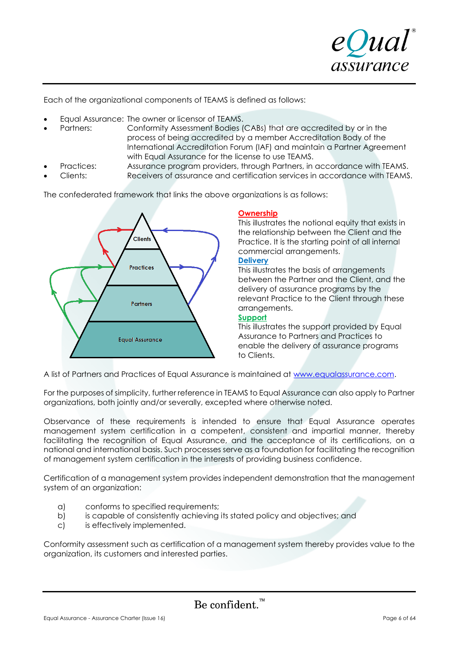

Each of the organizational components of TEAMS is defined as follows:

- Equal Assurance: The owner or licensor of TEAMS.
- Partners: Conformity Assessment Bodies (CABs) that are accredited by or in the process of being accredited by a member Accreditation Body of the International Accreditation Forum (IAF) and maintain a Partner Agreement with Equal Assurance for the license to use TEAMS.
- Practices: Assurance program providers, through Partners, in accordance with TEAMS.
- Clients: Receivers of assurance and certification services in accordance with TEAMS.

The confederated framework that links the above organizations is as follows:



### **Ownership**

This illustrates the notional equity that exists in the relationship between the Client and the Practice. It is the starting point of all internal commercial arrangements.

### **Delivery**

This illustrates the basis of arrangements between the Partner and the Client, and the delivery of assurance programs by the relevant Practice to the Client through these arrangements.

### **Support**

This illustrates the support provided by Equal Assurance to Partners and Practices to enable the delivery of assurance programs to Clients.

A list of Partners and Practices of Equal Assurance is maintained at [www.equalassurance.com.](http://www.equalassurance.com/)

For the purposes of simplicity, further reference in TEAMS to Equal Assurance can also apply to Partner organizations, both jointly and/or severally, excepted where otherwise noted.

Observance of these requirements is intended to ensure that Equal Assurance operates management system certification in a competent, consistent and impartial manner, thereby facilitating the recognition of Equal Assurance, and the acceptance of its certifications, on a national and international basis. Such processes serve as a foundation for facilitating the recognition of management system certification in the interests of providing business confidence.

Certification of a management system provides independent demonstration that the management system of an organization:

- a) conforms to specified requirements;
- b) is capable of consistently achieving its stated policy and objectives; and
- c) is effectively implemented.

Conformity assessment such as certification of a management system thereby provides value to the organization, its customers and interested parties.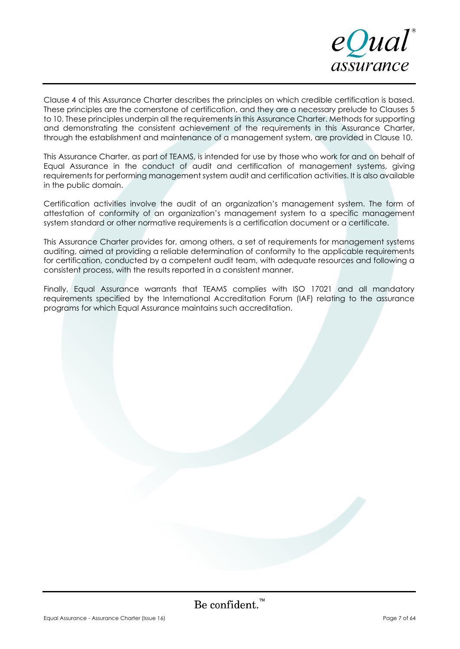

Clause 4 of this Assurance Charter describes the principles on which credible certification is based. These principles are the cornerstone of certification, and they are a necessary prelude to Clauses 5 to 10. These principles underpin all the requirements in this Assurance Charter. Methods for supporting and demonstrating the consistent achievement of the requirements in this Assurance Charter, through the establishment and maintenance of a management system, are provided in Clause 10.

This Assurance Charter, as part of TEAMS, is intended for use by those who work for and on behalf of Equal Assurance in the conduct of audit and certification of management systems, giving requirements for performing management system audit and certification activities. It is also available in the public domain.

Certification activities involve the audit of an organization's management system. The form of attestation of conformity of an organization's management system to a specific management system standard or other normative requirements is a certification document or a certificate.

This Assurance Charter provides for, among others, a set of requirements for management systems auditing, aimed at providing a reliable determination of conformity to the applicable requirements for certification, conducted by a competent audit team, with adequate resources and following a consistent process, with the results reported in a consistent manner.

Finally, Equal Assurance warrants that TEAMS complies with ISO 17021 and all mandatory requirements specified by the International Accreditation Forum (IAF) relating to the assurance programs for which Equal Assurance maintains such accreditation.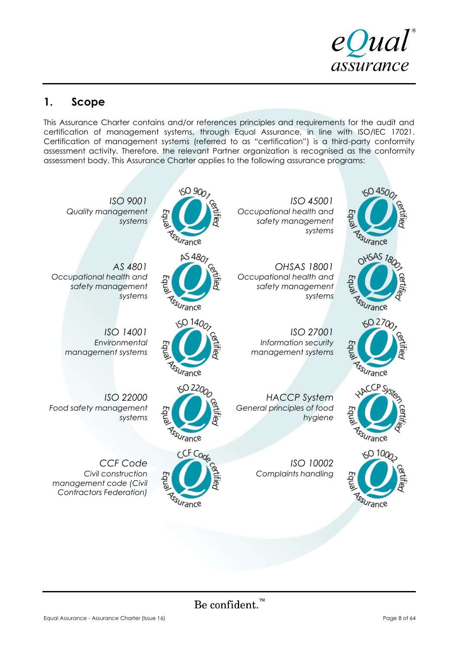

# **1. Scope**

This Assurance Charter contains and/or references principles and requirements for the audit and certification of management systems, through Equal Assurance, in line with ISO/IEC 17021. Certification of management systems (referred to as "certification") is a third-party conformity assessment activity. Therefore, the relevant Partner organization is recognised as the conformity assessment body. This Assurance Charter applies to the following assurance programs:

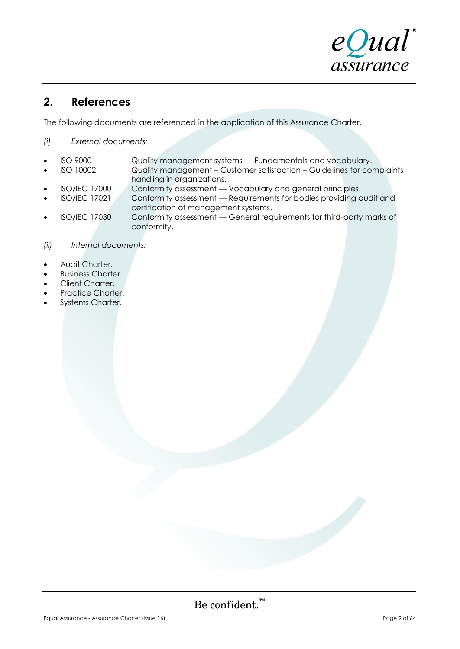

# **2. References**

The following documents are referenced in the application of this Assurance Charter.

*(i) External documents:*

- ISO 9000 Quality management systems Fundamentals and vocabulary.
- ISO 10002 Quality management Customer satisfaction Guidelines for complaints handling in organizations.
- ISO/IEC 17000 Conformity assessment Vocabulary and general principles.<br>• ISO/IEC 17021 Conformity assessment Requirements for bodies providing c
- Conformity assessment Requirements for bodies providing audit and certification of management systems.
- ISO/IEC 17030 Conformity assessment General requirements for third-party marks of conformity.
- *(ii) Internal documents:*
- Audit Charter.
- **Business Charter.**
- Client Charter.
- Practice Charter.
- Systems Charter.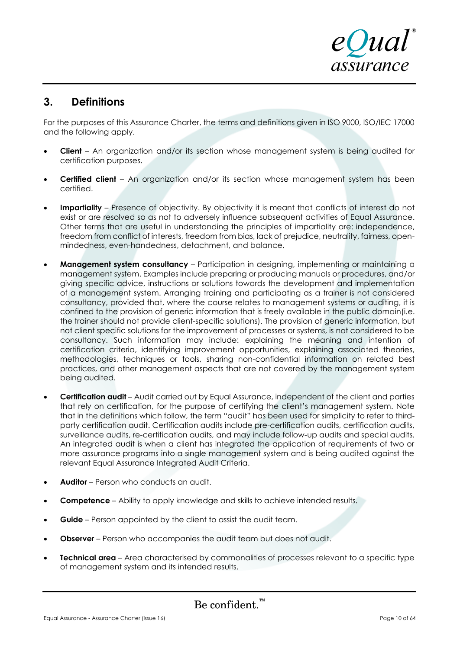

# **3. Definitions**

For the purposes of this Assurance Charter, the terms and definitions given in ISO 9000, ISO/IEC 17000 and the following apply.

- **Client** An organization and/or its section whose management system is being audited for certification purposes.
- **Certified client** An organization and/or its section whose management system has been certified.
- **Impartiality** Presence of objectivity. By objectivity it is meant that conflicts of interest do not exist or are resolved so as not to adversely influence subsequent activities of Equal Assurance. Other terms that are useful in understanding the principles of impartiality are: independence, freedom from conflict of interests, freedom from bias, lack of prejudice, neutrality, fairness, openmindedness, even-handedness, detachment, and balance.
- **Management system consultancy** Participation in designing, implementing or maintaining a management system. Examples include preparing or producing manuals or procedures, and/or giving specific advice, instructions or solutions towards the development and implementation of a management system. Arranging training and participating as a trainer is not considered consultancy, provided that, where the course relates to management systems or auditing, it is confined to the provision of generic information that is freely available in the public domain(i.e. the trainer should not provide client-specific solutions). The provision of generic information, but not client specific solutions for the improvement of processes or systems, is not considered to be consultancy. Such information may include: explaining the meaning and intention of certification criteria, identifying improvement opportunities, explaining associated theories, methodologies, techniques or tools, sharing non-confidential information on related best practices, and other management aspects that are not covered by the management system being audited.
- **Certification audit** Audit carried out by Equal Assurance, independent of the client and parties that rely on certification, for the purpose of certifying the client's management system. Note that in the definitions which follow, the term "audit" has been used for simplicity to refer to thirdparty certification audit. Certification audits include pre-certification audits, certification audits, surveillance audits, re-certification audits, and may include follow-up audits and special audits. An integrated audit is when a client has integrated the application of requirements of two or more assurance programs into a single management system and is being audited against the relevant Equal Assurance Integrated Audit Criteria.
- **Auditor** Person who conducts an audit.
- **Competence** Ability to apply knowledge and skills to achieve intended results.
- **Guide** Person appointed by the client to assist the audit team.
- **Observer** Person who accompanies the audit team but does not audit.
- **Technical area** Area characterised by commonalities of processes relevant to a specific type of management system and its intended results.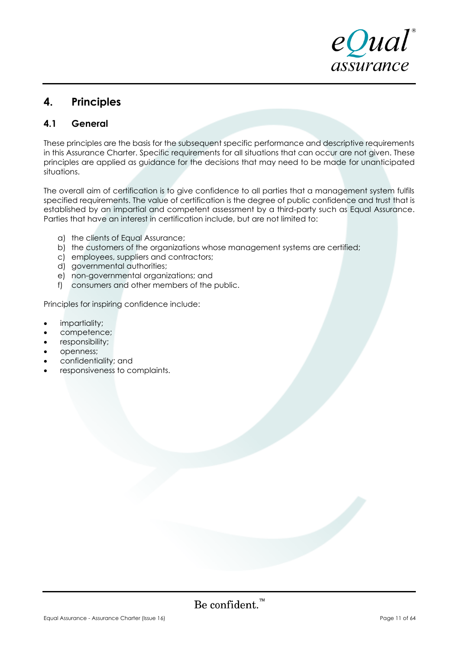

# **4. Principles**

# **4.1 General**

These principles are the basis for the subsequent specific performance and descriptive requirements in this Assurance Charter. Specific requirements for all situations that can occur are not given. These principles are applied as guidance for the decisions that may need to be made for unanticipated situations.

The overall aim of certification is to give confidence to all parties that a management system fulfils specified requirements. The value of certification is the degree of public confidence and trust that is established by an impartial and competent assessment by a third-party such as Equal Assurance. Parties that have an interest in certification include, but are not limited to:

- a) the clients of Equal Assurance;
- b) the customers of the organizations whose management systems are certified;
- c) employees, suppliers and contractors;
- d) governmental authorities;
- e) non-governmental organizations; and
- f) consumers and other members of the public.

Principles for inspiring confidence include:

- impartiality;
- competence;
- responsibility;
- openness;
- confidentiality; and
- responsiveness to complaints.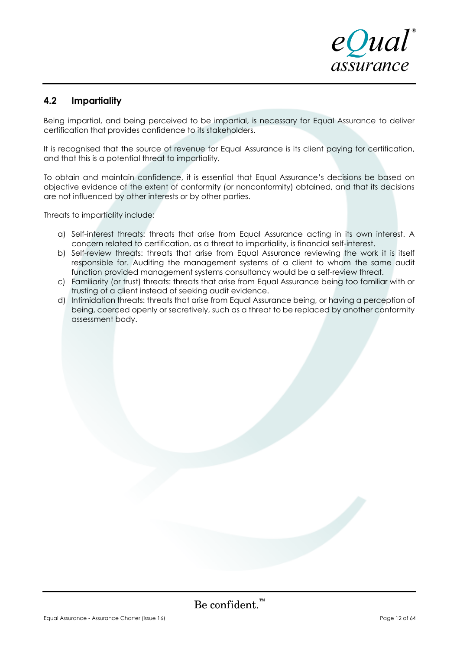

# **4.2 Impartiality**

Being impartial, and being perceived to be impartial, is necessary for Equal Assurance to deliver certification that provides confidence to its stakeholders.

It is recognised that the source of revenue for Equal Assurance is its client paying for certification, and that this is a potential threat to impartiality.

To obtain and maintain confidence, it is essential that Equal Assurance's decisions be based on objective evidence of the extent of conformity (or nonconformity) obtained, and that its decisions are not influenced by other interests or by other parties.

Threats to impartiality include:

- a) Self-interest threats: threats that arise from Equal Assurance acting in its own interest. A concern related to certification, as a threat to impartiality, is financial self-interest.
- b) Self-review threats: threats that arise from Equal Assurance reviewing the work it is itself responsible for. Auditing the management systems of a client to whom the same audit function provided management systems consultancy would be a self-review threat.
- c) Familiarity (or trust) threats: threats that arise from Equal Assurance being too familiar with or trusting of a client instead of seeking audit evidence.
- d) Intimidation threats: threats that arise from Equal Assurance being, or having a perception of being, coerced openly or secretively, such as a threat to be replaced by another conformity assessment body.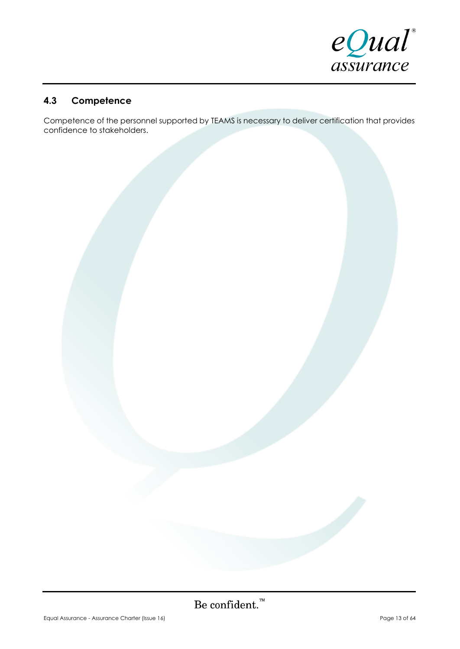

# **4.3 Competence**

Competence of the personnel supported by TEAMS is necessary to deliver certification that provides confidence to stakeholders.

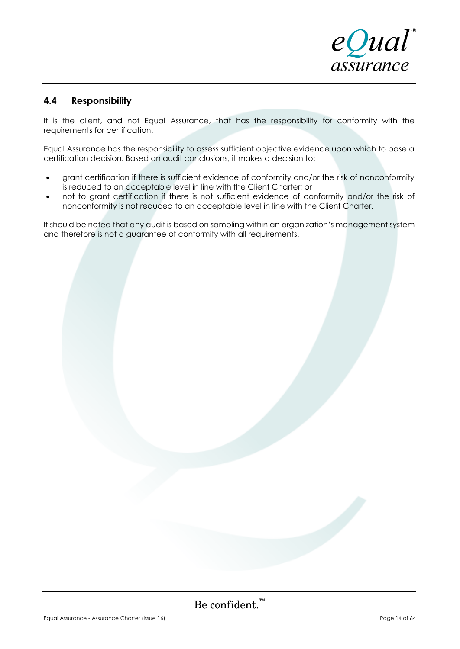

# **4.4 Responsibility**

It is the client, and not Equal Assurance, that has the responsibility for conformity with the requirements for certification.

Equal Assurance has the responsibility to assess sufficient objective evidence upon which to base a certification decision. Based on audit conclusions, it makes a decision to:

- grant certification if there is sufficient evidence of conformity and/or the risk of nonconformity is reduced to an acceptable level in line with the Client Charter; or
- not to grant certification if there is not sufficient evidence of conformity and/or the risk of nonconformity is not reduced to an acceptable level in line with the Client Charter.

It should be noted that any audit is based on sampling within an organization's management system and therefore is not a guarantee of conformity with all requirements.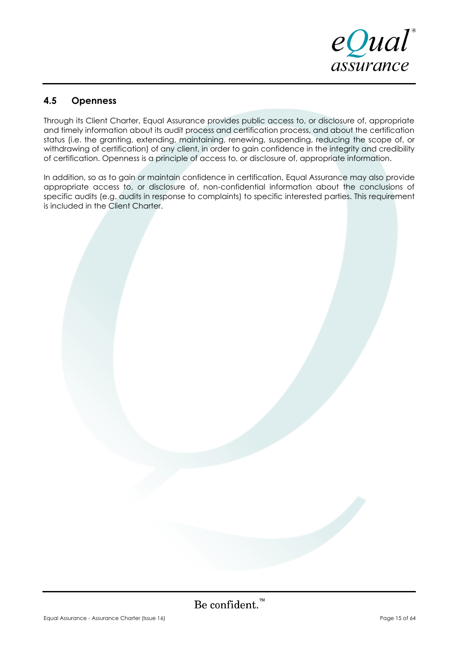

# **4.5 Openness**

Through its Client Charter, Equal Assurance provides public access to, or disclosure of, appropriate and timely information about its audit process and certification process, and about the certification status (i.e. the granting, extending, maintaining, renewing, suspending, reducing the scope of, or withdrawing of certification) of any client, in order to gain confidence in the integrity and credibility of certification. Openness is a principle of access to, or disclosure of, appropriate information.

In addition, so as to gain or maintain confidence in certification, Equal Assurance may also provide appropriate access to, or disclosure of, non-confidential information about the conclusions of specific audits (e.g. audits in response to complaints) to specific interested parties. This requirement is included in the Client Charter.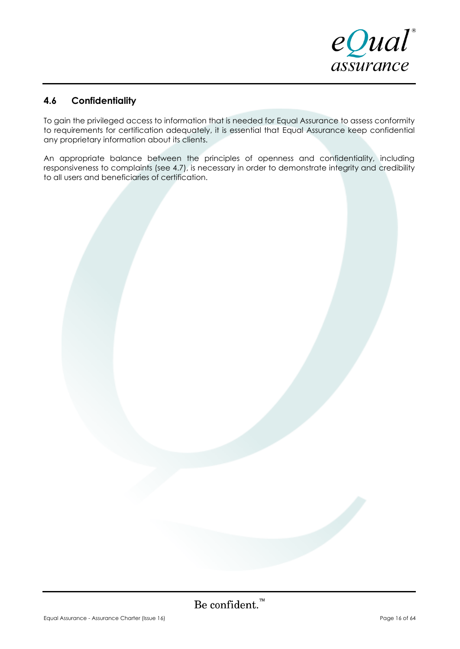

# **4.6 Confidentiality**

To gain the privileged access to information that is needed for Equal Assurance to assess conformity to requirements for certification adequately, it is essential that Equal Assurance keep confidential any proprietary information about its clients.

An appropriate balance between the principles of openness and confidentiality, including responsiveness to complaints (see 4.7), is necessary in order to demonstrate integrity and credibility to all users and beneficiaries of certification.

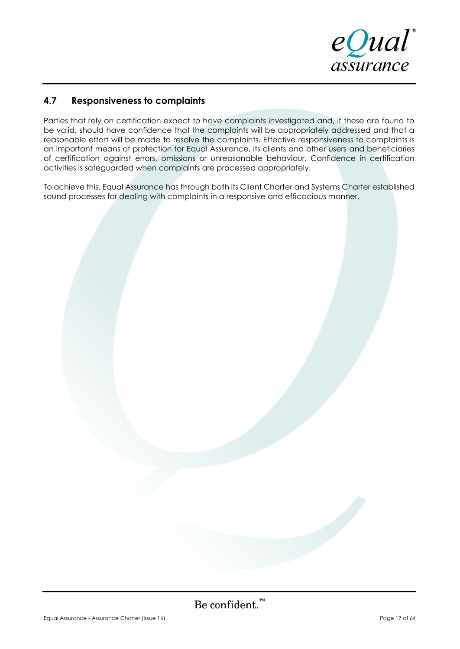

# **4.7 Responsiveness to complaints**

Parties that rely on certification expect to have complaints investigated and, if these are found to be valid, should have confidence that the complaints will be appropriately addressed and that a reasonable effort will be made to resolve the complaints. Effective responsiveness to complaints is an important means of protection for Equal Assurance, its clients and other users and beneficiaries of certification against errors, omissions or unreasonable behaviour. Confidence in certification activities is safeguarded when complaints are processed appropriately.

To achieve this, Equal Assurance has through both its Client Charter and Systems Charter established sound processes for dealing with complaints in a responsive and efficacious manner.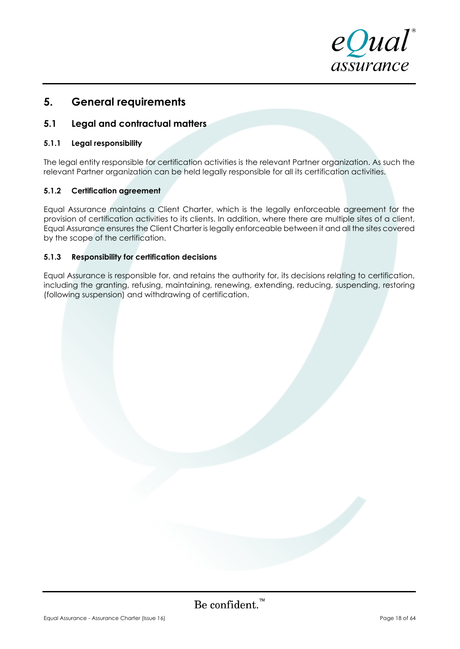

# **5. General requirements**

# **5.1 Legal and contractual matters**

### **5.1.1 Legal responsibility**

The legal entity responsible for certification activities is the relevant Partner organization. As such the relevant Partner organization can be held legally responsible for all its certification activities.

### **5.1.2 Certification agreement**

Equal Assurance maintains a Client Charter, which is the legally enforceable agreement for the provision of certification activities to its clients. In addition, where there are multiple sites of a client, Equal Assurance ensures the Client Charter is legally enforceable between it and all the sites covered by the scope of the certification.

### **5.1.3 Responsibility for certification decisions**

Equal Assurance is responsible for, and retains the authority for, its decisions relating to certification, including the granting, refusing, maintaining, renewing, extending, reducing, suspending, restoring (following suspension) and withdrawing of certification.

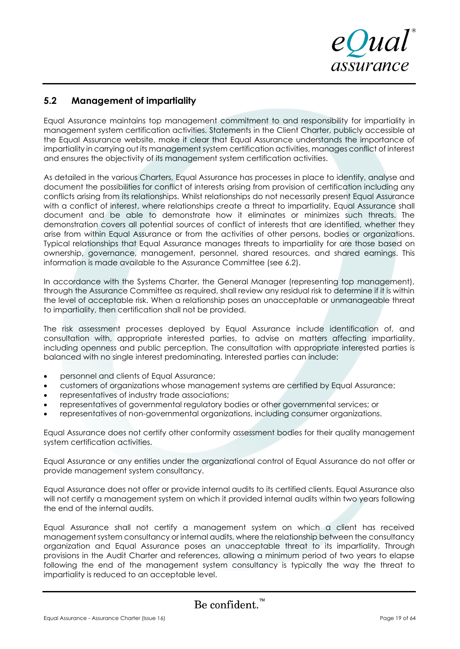eQual assurance

# **5.2 Management of impartiality**

Equal Assurance maintains top management commitment to and responsibility for impartiality in management system certification activities. Statements in the Client Charter, publicly accessible at the Equal Assurance website, make it clear that Equal Assurance understands the importance of impartiality in carrying out its management system certification activities, manages conflict of interest and ensures the objectivity of its management system certification activities.

As detailed in the various Charters, Equal Assurance has processes in place to identify, analyse and document the possibilities for conflict of interests arising from provision of certification including any conflicts arising from its relationships. Whilst relationships do not necessarily present Equal Assurance with a conflict of interest, where relationships create a threat to impartiality, Equal Assurance shall document and be able to demonstrate how it eliminates or minimizes such threats. The demonstration covers all potential sources of conflict of interests that are identified, whether they arise from within Equal Assurance or from the activities of other persons, bodies or organizations. Typical relationships that Equal Assurance manages threats to impartiality for are those based on ownership, governance, management, personnel, shared resources, and shared earnings. This information is made available to the Assurance Committee (see 6.2).

In accordance with the Systems Charter, the General Manager (representing top management), through the Assurance Committee as required, shall review any residual risk to determine if it is within the level of acceptable risk. When a relationship poses an unacceptable or unmanageable threat to impartiality, then certification shall not be provided.

The risk assessment processes deployed by Equal Assurance include identification of, and consultation with, appropriate interested parties, to advise on matters affecting impartiality, including openness and public perception. The consultation with appropriate interested parties is balanced with no single interest predominating. Interested parties can include:

- personnel and clients of Equal Assurance;
- customers of organizations whose management systems are certified by Equal Assurance;
- representatives of industry trade associations;
- representatives of governmental regulatory bodies or other governmental services; or
- representatives of non-governmental organizations, including consumer organizations.

Equal Assurance does not certify other conformity assessment bodies for their quality management system certification activities.

Equal Assurance or any entities under the organizational control of Equal Assurance do not offer or provide management system consultancy.

Equal Assurance does not offer or provide internal audits to its certified clients. Equal Assurance also will not certify a management system on which it provided internal audits within two years following the end of the internal audits.

Equal Assurance shall not certify a management system on which a client has received management system consultancy or internal audits, where the relationship between the consultancy organization and Equal Assurance poses an unacceptable threat to its impartiality. Through provisions in the Audit Charter and references, allowing a minimum period of two years to elapse following the end of the management system consultancy is typically the way the threat to impartiality is reduced to an acceptable level.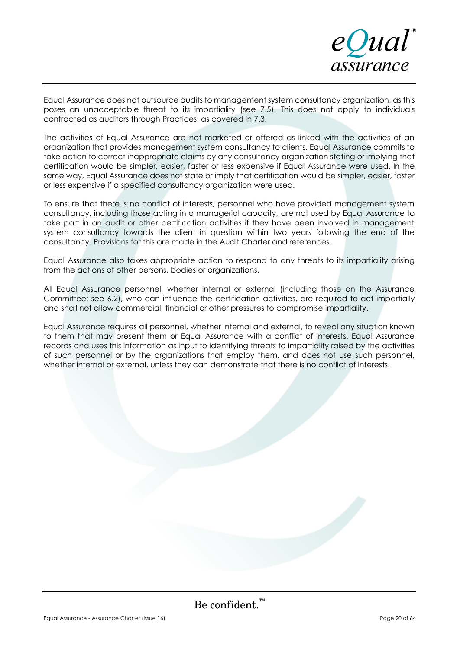

Equal Assurance does not outsource audits to management system consultancy organization, as this poses an unacceptable threat to its impartiality (see 7.5). This does not apply to individuals contracted as auditors through Practices, as covered in 7.3.

The activities of Equal Assurance are not marketed or offered as linked with the activities of an organization that provides management system consultancy to clients. Equal Assurance commits to take action to correct inappropriate claims by any consultancy organization stating or implying that certification would be simpler, easier, faster or less expensive if Equal Assurance were used. In the same way, Equal Assurance does not state or imply that certification would be simpler, easier, faster or less expensive if a specified consultancy organization were used.

To ensure that there is no conflict of interests, personnel who have provided management system consultancy, including those acting in a managerial capacity, are not used by Equal Assurance to take part in an audit or other certification activities if they have been involved in management system consultancy towards the client in question within two years following the end of the consultancy. Provisions for this are made in the Audit Charter and references.

Equal Assurance also takes appropriate action to respond to any threats to its impartiality arising from the actions of other persons, bodies or organizations.

All Equal Assurance personnel, whether internal or external (including those on the Assurance Committee; see 6.2), who can influence the certification activities, are required to act impartially and shall not allow commercial, financial or other pressures to compromise impartiality.

Equal Assurance requires all personnel, whether internal and external, to reveal any situation known to them that may present them or Equal Assurance with a conflict of interests. Equal Assurance records and uses this information as input to identifying threats to impartiality raised by the activities of such personnel or by the organizations that employ them, and does not use such personnel, whether internal or external, unless they can demonstrate that there is no conflict of interests.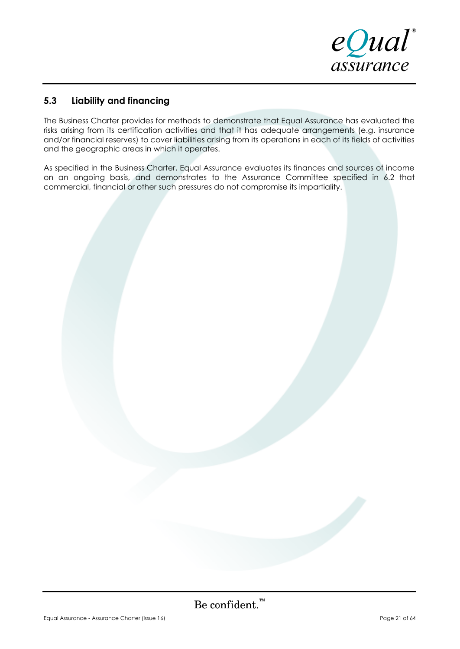

# **5.3 Liability and financing**

The Business Charter provides for methods to demonstrate that Equal Assurance has evaluated the risks arising from its certification activities and that it has adequate arrangements (e.g. insurance and/or financial reserves) to cover liabilities arising from its operations in each of its fields of activities and the geographic areas in which it operates.

As specified in the Business Charter, Equal Assurance evaluates its finances and sources of income on an ongoing basis, and demonstrates to the Assurance Committee specified in 6.2 that commercial, financial or other such pressures do not compromise its impartiality.

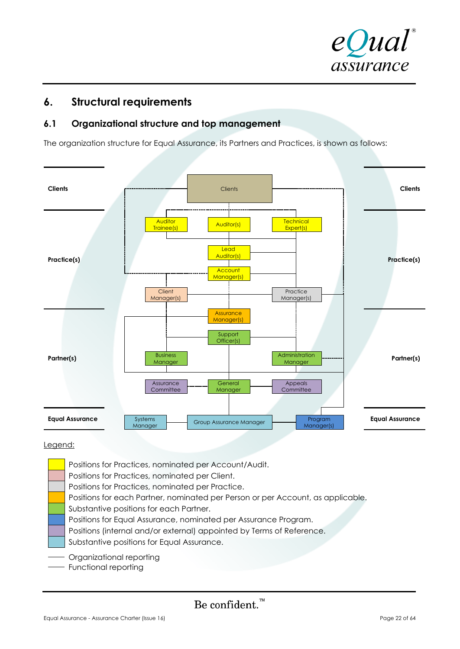

# **6. Structural requirements**

# **6.1 Organizational structure and top management**

The organization structure for Equal Assurance, its Partners and Practices, is shown as follows:



### Legend:

Positions for Practices, nominated per Account/Audit. Positions for Practices, nominated per Client. Positions for Practices, nominated per Practice. Positions for each Partner, nominated per Person or per Account, as applicable. Substantive positions for each Partner. Positions for Equal Assurance, nominated per Assurance Program. Positions (internal and/or external) appointed by Terms of Reference. Substantive positions for Equal Assurance. Organizational reporting - Functional reporting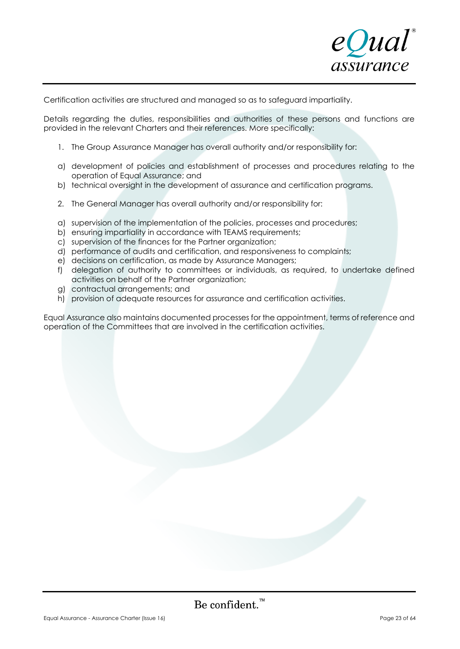

Certification activities are structured and managed so as to safeguard impartiality.

Details regarding the duties, responsibilities and authorities of these persons and functions are provided in the relevant Charters and their references. More specifically:

- 1. The Group Assurance Manager has overall authority and/or responsibility for:
- a) development of policies and establishment of processes and procedures relating to the operation of Equal Assurance; and
- b) technical oversight in the development of assurance and certification programs.
- 2. The General Manager has overall authority and/or responsibility for:
- a) supervision of the implementation of the policies, processes and procedures;
- b) ensuring impartiality in accordance with TEAMS requirements;
- c) supervision of the finances for the Partner organization;
- d) performance of audits and certification, and responsiveness to complaints;
- e) decisions on certification, as made by Assurance Managers;
- f) delegation of authority to committees or individuals, as required, to undertake defined activities on behalf of the Partner organization;
- g) contractual arrangements; and
- h) provision of adequate resources for assurance and certification activities.

Equal Assurance also maintains documented processes for the appointment, terms of reference and operation of the Committees that are involved in the certification activities.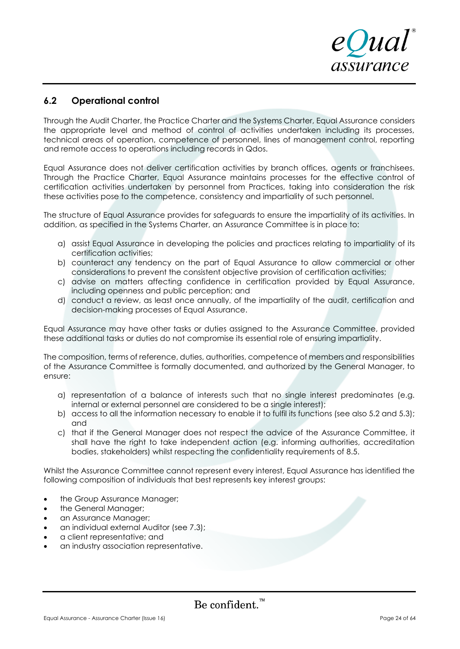

# **6.2 Operational control**

Through the Audit Charter, the Practice Charter and the Systems Charter, Equal Assurance considers the appropriate level and method of control of activities undertaken including its processes, technical areas of operation, competence of personnel, lines of management control, reporting and remote access to operations including records in Qdos.

Equal Assurance does not deliver certification activities by branch offices, agents or franchisees. Through the Practice Charter, Equal Assurance maintains processes for the effective control of certification activities undertaken by personnel from Practices, taking into consideration the risk these activities pose to the competence, consistency and impartiality of such personnel.

The structure of Equal Assurance provides for safeguards to ensure the impartiality of its activities. In addition, as specified in the Systems Charter, an Assurance Committee is in place to:

- a) assist Equal Assurance in developing the policies and practices relating to impartiality of its certification activities;
- b) counteract any tendency on the part of Equal Assurance to allow commercial or other considerations to prevent the consistent objective provision of certification activities;
- c) advise on matters affecting confidence in certification provided by Equal Assurance, including openness and public perception; and
- d) conduct a review, as least once annually, of the impartiality of the audit, certification and decision-making processes of Equal Assurance.

Equal Assurance may have other tasks or duties assigned to the Assurance Committee, provided these additional tasks or duties do not compromise its essential role of ensuring impartiality.

The composition, terms of reference, duties, authorities, competence of members and responsibilities of the Assurance Committee is formally documented, and authorized by the General Manager, to ensure:

- a) representation of a balance of interests such that no single interest predominates (e.g. internal or external personnel are considered to be a single interest);
- b) access to all the information necessary to enable it to fulfil its functions (see also 5.2 and 5.3); and
- c) that if the General Manager does not respect the advice of the Assurance Committee, it shall have the right to take independent action (e.g. informing authorities, accreditation bodies, stakeholders) whilst respecting the confidentiality requirements of 8.5.

Whilst the Assurance Committee cannot represent every interest, Equal Assurance has identified the following composition of individuals that best represents key interest groups:

- the Group Assurance Manager;
- the General Manager;
- an Assurance Manager;
- an individual external Auditor (see 7.3);
- a client representative; and
- an industry association representative.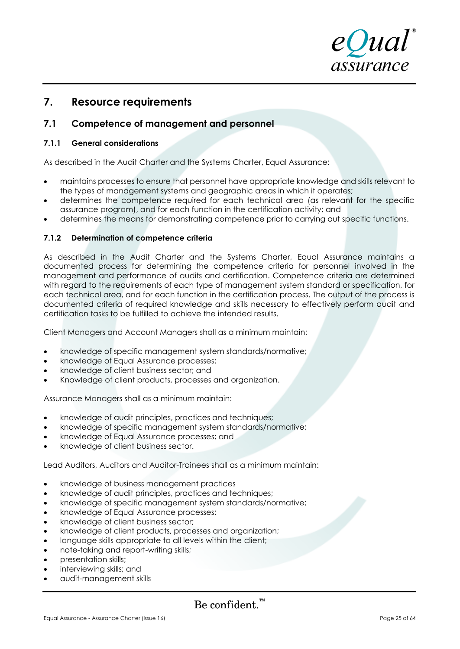

# **7. Resource requirements**

# **7.1 Competence of management and personnel**

### **7.1.1 General considerations**

As described in the Audit Charter and the Systems Charter, Equal Assurance:

- maintains processes to ensure that personnel have appropriate knowledge and skills relevant to the types of management systems and geographic areas in which it operates;
- determines the competence required for each technical area (as relevant for the specific assurance program), and for each function in the certification activity; and
- determines the means for demonstrating competence prior to carrying out specific functions.

### **7.1.2 Determination of competence criteria**

As described in the Audit Charter and the Systems Charter, Equal Assurance maintains a documented process for determining the competence criteria for personnel involved in the management and performance of audits and certification. Competence criteria are determined with regard to the requirements of each type of management system standard or specification, for each technical area, and for each function in the certification process. The output of the process is documented criteria of required knowledge and skills necessary to effectively perform audit and certification tasks to be fulfilled to achieve the intended results.

Client Managers and Account Managers shall as a minimum maintain:

- knowledge of specific management system standards/normative;
- knowledge of Equal Assurance processes;
- knowledge of client business sector; and
- Knowledge of client products, processes and organization.

Assurance Managers shall as a minimum maintain:

- knowledge of audit principles, practices and techniques;
- knowledge of specific management system standards/normative;
- knowledge of Equal Assurance processes; and
- knowledge of client business sector.

Lead Auditors, Auditors and Auditor-Trainees shall as a minimum maintain:

- knowledge of business management practices
- knowledge of audit principles, practices and techniques;
- knowledge of specific management system standards/normative;
- knowledge of Equal Assurance processes;
- knowledge of client business sector;
- knowledge of client products, processes and organization;
- language skills appropriate to all levels within the client;
- note-taking and report-writing skills;
- presentation skills;
- interviewing skills; and
- audit-management skills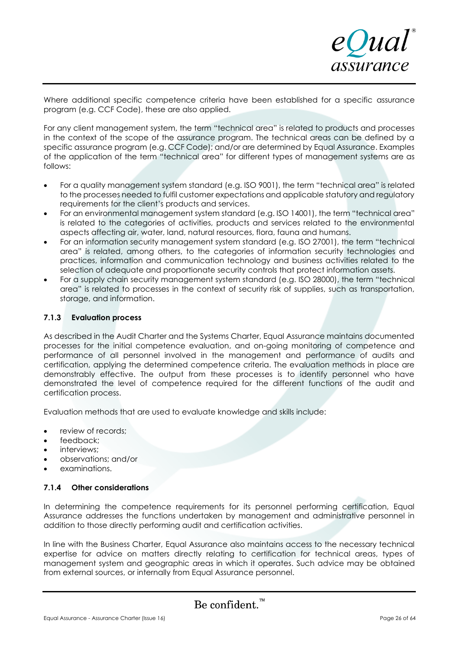

Where additional specific competence criteria have been established for a specific assurance program (e.g. CCF Code), these are also applied.

For any client management system, the term "technical area" is related to products and processes in the context of the scope of the assurance program. The technical areas can be defined by a specific assurance program (e.g. CCF Code); and/or are determined by Equal Assurance. Examples of the application of the term "technical area" for different types of management systems are as follows:

- For a quality management system standard (e.g. ISO 9001), the term "technical area" is related to the processes needed to fulfil customer expectations and applicable statutory and regulatory requirements for the client's products and services.
- For an environmental management system standard (e.g. ISO 14001), the term "technical area" is related to the categories of activities, products and services related to the environmental aspects affecting air, water, land, natural resources, flora, fauna and humans.
- For an information security management system standard (e.g. ISO 27001), the term "technical area" is related, among others, to the categories of information security technologies and practices, information and communication technology and business activities related to the selection of adequate and proportionate security controls that protect information assets.
- For a supply chain security management system standard (e.g. ISO 28000), the term "technical area" is related to processes in the context of security risk of supplies, such as transportation, storage, and information.

### **7.1.3 Evaluation process**

As described in the Audit Charter and the Systems Charter, Equal Assurance maintains documented processes for the initial competence evaluation, and on-going monitoring of competence and performance of all personnel involved in the management and performance of audits and certification, applying the determined competence criteria. The evaluation methods in place are demonstrably effective. The output from these processes is to identify personnel who have demonstrated the level of competence required for the different functions of the audit and certification process.

Evaluation methods that are used to evaluate knowledge and skills include:

- review of records:
- feedback;
- interviews:
- observations; and/or
- examinations.

### **7.1.4 Other considerations**

In determining the competence requirements for its personnel performing certification, Equal Assurance addresses the functions undertaken by management and administrative personnel in addition to those directly performing audit and certification activities.

In line with the Business Charter, Equal Assurance also maintains access to the necessary technical expertise for advice on matters directly relating to certification for technical areas, types of management system and geographic areas in which it operates. Such advice may be obtained from external sources, or internally from Equal Assurance personnel.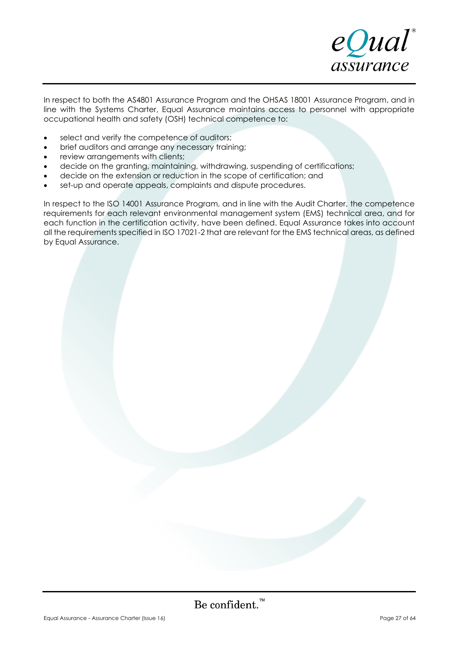

In respect to both the AS4801 Assurance Program and the OHSAS 18001 Assurance Program, and in line with the Systems Charter, Equal Assurance maintains access to personnel with appropriate occupational health and safety (OSH) technical competence to:

- select and verify the competence of auditors;
- brief auditors and arrange any necessary training;
- review arrangements with clients;
- decide on the granting, maintaining, withdrawing, suspending of certifications;
- decide on the extension or reduction in the scope of certification; and
- set-up and operate appeals, complaints and dispute procedures.

In respect to the ISO 14001 Assurance Program, and in line with the Audit Charter, the competence requirements for each relevant environmental management system (EMS) technical area, and for each function in the certification activity, have been defined. Equal Assurance takes into account all the requirements specified in ISO 17021-2 that are relevant for the EMS technical areas, as defined by Equal Assurance.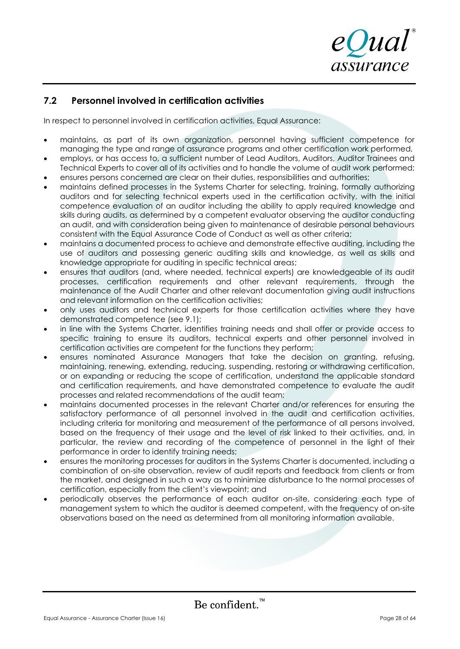

# **7.2 Personnel involved in certification activities**

In respect to personnel involved in certification activities, Equal Assurance:

- maintains, as part of its own organization, personnel having sufficient competence for managing the type and range of assurance programs and other certification work performed,
- employs, or has access to, a sufficient number of Lead Auditors, Auditors, Auditor Trainees and Technical Experts to cover all of its activities and to handle the volume of audit work performed;
- ensures persons concerned are clear on their duties, responsibilities and authorities;
- maintains defined processes in the Systems Charter for selecting, training, formally authorizing auditors and for selecting technical experts used in the certification activity, with the initial competence evaluation of an auditor including the ability to apply required knowledge and skills during audits, as determined by a competent evaluator observing the auditor conducting an audit, and with consideration being given to maintenance of desirable personal behaviours consistent with the Equal Assurance Code of Conduct as well as other criteria;
- maintains a documented process to achieve and demonstrate effective auditing, including the use of auditors and possessing generic auditing skills and knowledge, as well as skills and knowledge appropriate for auditing in specific technical areas;
- ensures that auditors (and, where needed, technical experts) are knowledgeable of its audit processes, certification requirements and other relevant requirements, through the maintenance of the Audit Charter and other relevant documentation giving audit instructions and relevant information on the certification activities;
- only uses auditors and technical experts for those certification activities where they have demonstrated competence (see 9.1);
- in line with the Systems Charter, identifies training needs and shall offer or provide access to specific training to ensure its auditors, technical experts and other personnel involved in certification activities are competent for the functions they perform;
- ensures nominated Assurance Managers that take the decision on granting, refusing, maintaining, renewing, extending, reducing, suspending, restoring or withdrawing certification, or on expanding or reducing the scope of certification, understand the applicable standard and certification requirements, and have demonstrated competence to evaluate the audit processes and related recommendations of the audit team;
- maintains documented processes in the relevant Charter and/or references for ensuring the satisfactory performance of all personnel involved in the audit and certification activities, including criteria for monitoring and measurement of the performance of all persons involved, based on the frequency of their usage and the level of risk linked to their activities, and, in particular, the review and recording of the competence of personnel in the light of their performance in order to identify training needs;
- ensures the monitoring processes for auditors in the Systems Charter is documented, including a combination of on-site observation, review of audit reports and feedback from clients or from the market, and designed in such a way as to minimize disturbance to the normal processes of certification, especially from the client's viewpoint; and
- periodically observes the performance of each auditor on-site, considering each type of management system to which the auditor is deemed competent, with the frequency of on-site observations based on the need as determined from all monitoring information available.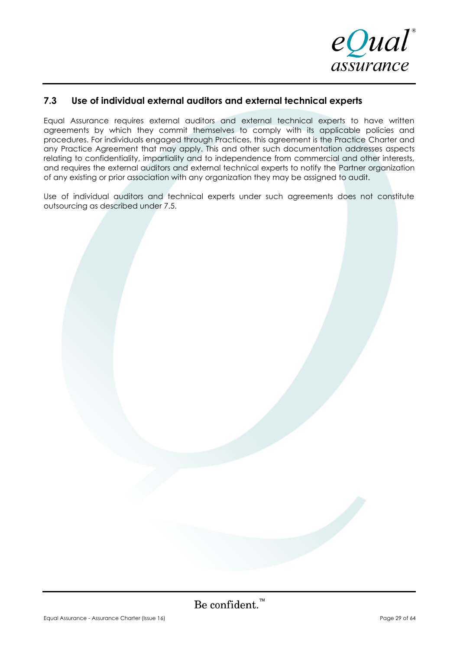

# **7.3 Use of individual external auditors and external technical experts**

Equal Assurance requires external auditors and external technical experts to have written agreements by which they commit themselves to comply with its applicable policies and procedures. For individuals engaged through Practices, this agreement is the Practice Charter and any Practice Agreement that may apply. This and other such documentation addresses aspects relating to confidentiality, impartiality and to independence from commercial and other interests, and requires the external auditors and external technical experts to notify the Partner organization of any existing or prior association with any organization they may be assigned to audit.

Use of individual auditors and technical experts under such agreements does not constitute outsourcing as described under 7.5.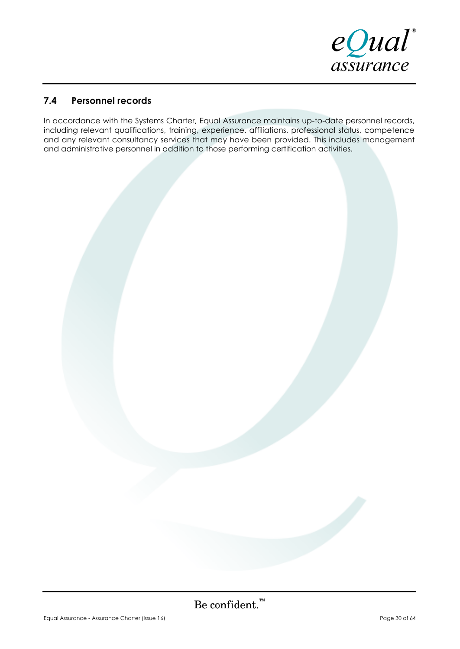

# **7.4 Personnel records**

In accordance with the Systems Charter, Equal Assurance maintains up-to-date personnel records, including relevant qualifications, training, experience, affiliations, professional status, competence and any relevant consultancy services that may have been provided. This includes management and administrative personnel in addition to those performing certification activities.

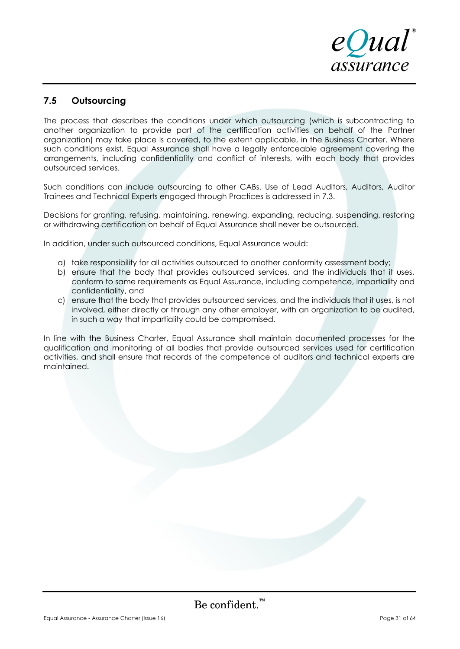

# **7.5 Outsourcing**

The process that describes the conditions under which outsourcing (which is subcontracting to another organization to provide part of the certification activities on behalf of the Partner organization) may take place is covered, to the extent applicable, in the Business Charter. Where such conditions exist, Equal Assurance shall have a legally enforceable agreement covering the arrangements, including confidentiality and conflict of interests, with each body that provides outsourced services.

Such conditions can include outsourcing to other CABs. Use of Lead Auditors, Auditors, Auditor Trainees and Technical Experts engaged through Practices is addressed in 7.3.

Decisions for granting, refusing, maintaining, renewing, expanding, reducing, suspending, restoring or withdrawing certification on behalf of Equal Assurance shall never be outsourced.

In addition, under such outsourced conditions, Equal Assurance would:

- a) take responsibility for all activities outsourced to another conformity assessment body;
- b) ensure that the body that provides outsourced services, and the individuals that it uses, conform to same requirements as Equal Assurance, including competence, impartiality and confidentiality, and
- c) ensure that the body that provides outsourced services, and the individuals that it uses, is not involved, either directly or through any other employer, with an organization to be audited, in such a way that impartiality could be compromised.

In line with the Business Charter, Equal Assurance shall maintain documented processes for the qualification and monitoring of all bodies that provide outsourced services used for certification activities, and shall ensure that records of the competence of auditors and technical experts are maintained.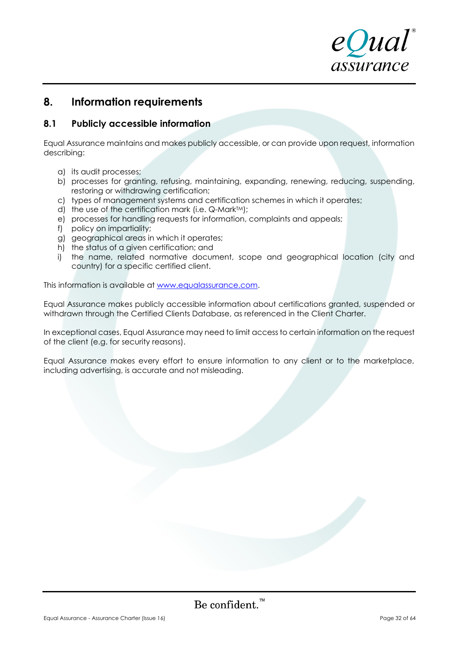

# **8. Information requirements**

# **8.1 Publicly accessible information**

Equal Assurance maintains and makes publicly accessible, or can provide upon request, information describing:

- a) its audit processes;
- b) processes for granting, refusing, maintaining, expanding, renewing, reducing, suspending, restoring or withdrawing certification;
- c) types of management systems and certification schemes in which it operates;
- d) the use of the certification mark (i.e.  $Q$ -Mark $TM$ );
- e) processes for handling requests for information, complaints and appeals;
- f) policy on impartiality;
- g) geographical areas in which it operates;
- h) the status of a given certification; and
- i) the name, related normative document, scope and geographical location (city and country) for a specific certified client.

This information is available at [www.equalassurance.com.](http://www.equalassurance.com/)

Equal Assurance makes publicly accessible information about certifications granted, suspended or withdrawn through the Certified Clients Database, as referenced in the Client Charter.

In exceptional cases, Equal Assurance may need to limit access to certain information on the request of the client (e.g. for security reasons).

Equal Assurance makes every effort to ensure information to any client or to the marketplace, including advertising, is accurate and not misleading.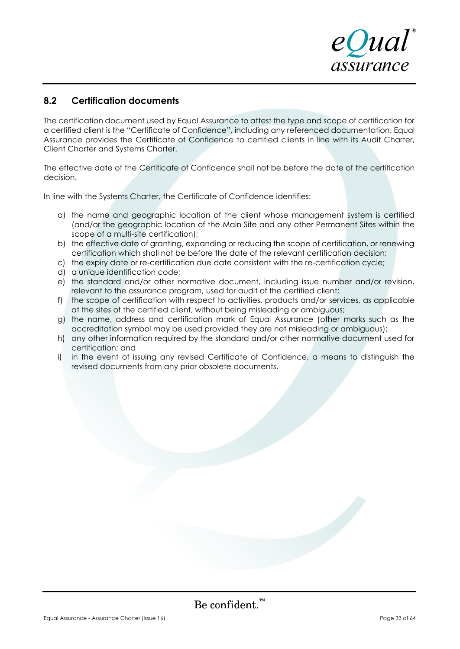# **8.2 Certification documents**

The certification document used by Equal Assurance to attest the type and scope of certification for a certified client is the "Certificate of Confidence", including any referenced documentation. Equal Assurance provides the Certificate of Confidence to certified clients in line with its Audit Charter, Client Charter and Systems Charter.

The effective date of the Certificate of Confidence shall not be before the date of the certification decision.

In line with the Systems Charter, the Certificate of Confidence identifies:

- a) the name and geographic location of the client whose management system is certified (and/or the geographic location of the Main Site and any other Permanent Sites within the scope of a multi-site certification);
- b) the effective date of granting, expanding or reducing the scope of certification, or renewing certification which shall not be before the date of the relevant certification decision;
- c) the expiry date or re-certification due date consistent with the re-certification cycle;
- d) a unique identification code;
- e) the standard and/or other normative document, including issue number and/or revision, relevant to the assurance program, used for audit of the certified client;
- f) the scope of certification with respect to activities, products and/or services, as applicable at the sites of the certified client, without being misleading or ambiguous;
- g) the name, address and certification mark of Equal Assurance (other marks such as the accreditation symbol may be used provided they are not misleading or ambiguous);
- h) any other information required by the standard and/or other normative document used for certification; and
- i) in the event of issuing any revised Certificate of Confidence, a means to distinguish the revised documents from any prior obsolete documents.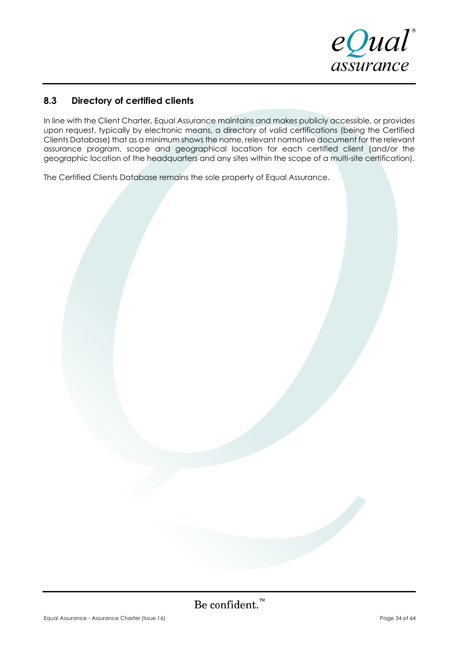

# **8.3 Directory of certified clients**

In line with the Client Charter, Equal Assurance maintains and makes publicly accessible, or provides upon request, typically by electronic means, a directory of valid certifications (being the Certified Clients Database) that as a minimum shows the name, relevant normative document for the relevant assurance program, scope and geographical location for each certified client (and/or the geographic location of the headquarters and any sites within the scope of a multi-site certification).

The Certified Clients Database remains the sole property of Equal Assurance.

Be confident.  $\sum_{k=1}^{n}$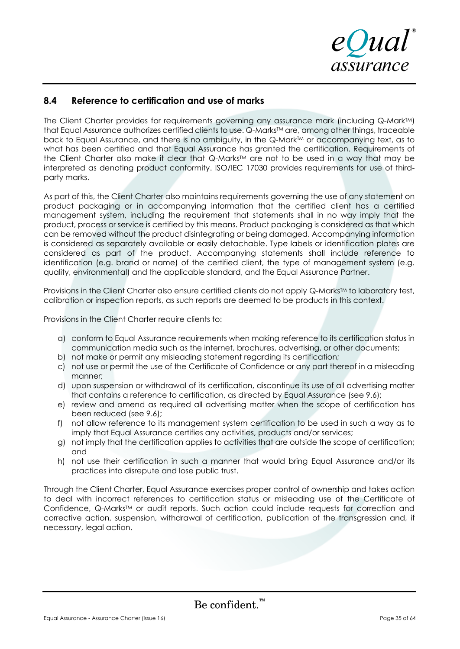

# **8.4 Reference to certification and use of marks**

The Client Charter provides for requirements governing any assurance mark (including Q-MarkTM) that Equal Assurance authorizes certified clients to use. Q-Marks TM are, among other things, traceable back to Equal Assurance, and there is no ambiguity, in the Q-Mark™ or accompanying text, as to what has been certified and that Equal Assurance has granted the certification. Requirements of the Client Charter also make it clear that Q-Marks TM are not to be used in a way that may be interpreted as denoting product conformity. ISO/IEC 17030 provides requirements for use of thirdparty marks.

As part of this, the Client Charter also maintains requirements governing the use of any statement on product packaging or in accompanying information that the certified client has a certified management system, including the requirement that statements shall in no way imply that the product, process or service is certified by this means. Product packaging is considered as that which can be removed without the product disintegrating or being damaged. Accompanying information is considered as separately available or easily detachable. Type labels or identification plates are considered as part of the product. Accompanying statements shall include reference to identification (e.g. brand or name) of the certified client, the type of management system (e.g. quality, environmental) and the applicable standard, and the Equal Assurance Partner.

Provisions in the Client Charter also ensure certified clients do not apply Q-Marks $\mathbb{M}$  to laboratory test, calibration or inspection reports, as such reports are deemed to be products in this context.

Provisions in the Client Charter require clients to:

- a) conform to Equal Assurance requirements when making reference to its certification status in communication media such as the internet, brochures, advertising, or other documents;
- b) not make or permit any misleading statement regarding its certification;
- c) not use or permit the use of the Certificate of Confidence or any part thereof in a misleading manner;
- d) upon suspension or withdrawal of its certification, discontinue its use of all advertising matter that contains a reference to certification, as directed by Equal Assurance (see 9.6);
- e) review and amend as required all advertising matter when the scope of certification has been reduced (see 9.6);
- f) not allow reference to its management system certification to be used in such a way as to imply that Equal Assurance certifies any activities, products and/or services;
- g) not imply that the certification applies to activities that are outside the scope of certification; and
- h) not use their certification in such a manner that would bring Equal Assurance and/or its practices into disrepute and lose public trust.

Through the Client Charter, Equal Assurance exercises proper control of ownership and takes action to deal with incorrect references to certification status or misleading use of the Certificate of Confidence, Q-Marks™ or audit reports. Such action could include requests for correction and corrective action, suspension, withdrawal of certification, publication of the transgression and, if necessary, legal action.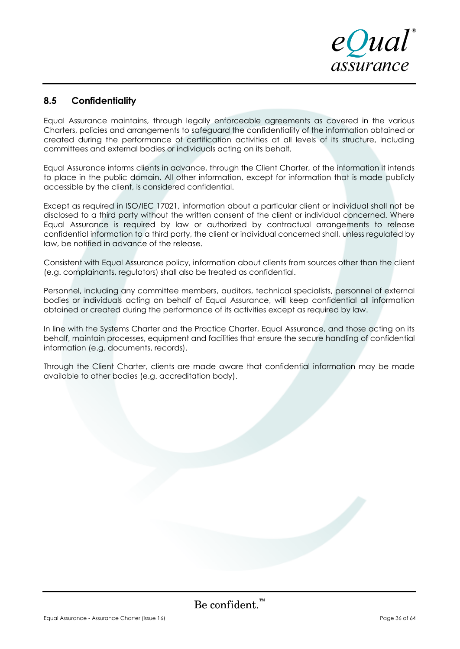

# **8.5 Confidentiality**

Equal Assurance maintains, through legally enforceable agreements as covered in the various Charters, policies and arrangements to safeguard the confidentiality of the information obtained or created during the performance of certification activities at all levels of its structure, including committees and external bodies or individuals acting on its behalf.

Equal Assurance informs clients in advance, through the Client Charter, of the information it intends to place in the public domain. All other information, except for information that is made publicly accessible by the client, is considered confidential.

Except as required in ISO/IEC 17021, information about a particular client or individual shall not be disclosed to a third party without the written consent of the client or individual concerned. Where Equal Assurance is required by law or authorized by contractual arrangements to release confidential information to a third party, the client or individual concerned shall, unless regulated by law, be notified in advance of the release.

Consistent with Equal Assurance policy, information about clients from sources other than the client (e.g. complainants, regulators) shall also be treated as confidential.

Personnel, including any committee members, auditors, technical specialists, personnel of external bodies or individuals acting on behalf of Equal Assurance, will keep confidential all information obtained or created during the performance of its activities except as required by law.

In line with the Systems Charter and the Practice Charter, Equal Assurance, and those acting on its behalf, maintain processes, equipment and facilities that ensure the secure handling of confidential information (e.g. documents, records).

Through the Client Charter, clients are made aware that confidential information may be made available to other bodies (e.g. accreditation body).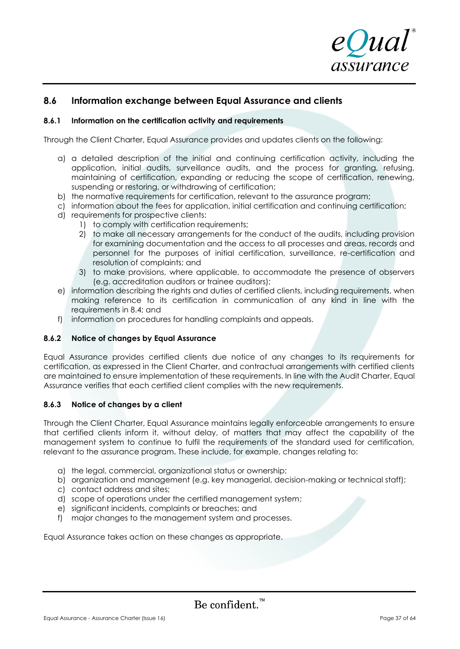

# **8.6 Information exchange between Equal Assurance and clients**

### **8.6.1 Information on the certification activity and requirements**

Through the Client Charter, Equal Assurance provides and updates clients on the following:

- a) a detailed description of the initial and continuing certification activity, including the application, initial audits, surveillance audits, and the process for granting, refusing, maintaining of certification, expanding or reducing the scope of certification, renewing, suspending or restoring, or withdrawing of certification;
- b) the normative requirements for certification, relevant to the assurance program;
- c) information about the fees for application, initial certification and continuing certification;
- d) requirements for prospective clients:
	- 1) to comply with certification requirements;
	- 2) to make all necessary arrangements for the conduct of the audits, including provision for examining documentation and the access to all processes and areas, records and personnel for the purposes of initial certification, surveillance, re-certification and resolution of complaints; and
	- 3) to make provisions, where applicable, to accommodate the presence of observers (e.g. accreditation auditors or trainee auditors);
- e) information describing the rights and duties of certified clients, including requirements, when making reference to its certification in communication of any kind in line with the requirements in 8.4; and
- f) information on procedures for handling complaints and appeals.

### **8.6.2 Notice of changes by Equal Assurance**

Equal Assurance provides certified clients due notice of any changes to its requirements for certification, as expressed in the Client Charter, and contractual arrangements with certified clients are maintained to ensure implementation of these requirements. In line with the Audit Charter, Equal Assurance verifies that each certified client complies with the new requirements.

### **8.6.3 Notice of changes by a client**

Through the Client Charter, Equal Assurance maintains legally enforceable arrangements to ensure that certified clients inform it, without delay, of matters that may affect the capability of the management system to continue to fulfil the requirements of the standard used for certification, relevant to the assurance program. These include, for example, changes relating to:

- a) the legal, commercial, organizational status or ownership;
- b) organization and management (e.g. key managerial, decision-making or technical staff);
- c) contact address and sites;
- d) scope of operations under the certified management system;
- e) significant incidents, complaints or breaches; and
- f) major changes to the management system and processes.

Equal Assurance takes action on these changes as appropriate.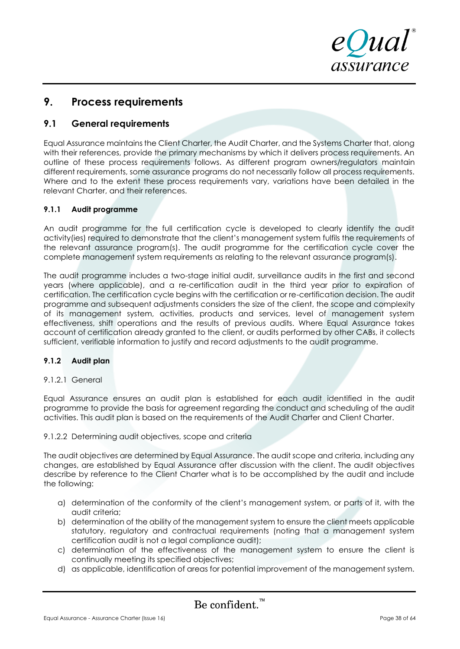

# **9. Process requirements**

# **9.1 General requirements**

Equal Assurance maintains the Client Charter, the Audit Charter, and the Systems Charter that, along with their references, provide the primary mechanisms by which it delivers process requirements. An outline of these process requirements follows. As different program owners/regulators maintain different requirements, some assurance programs do not necessarily follow all process requirements. Where and to the extent these process requirements vary, variations have been detailed in the relevant Charter, and their references.

### **9.1.1 Audit programme**

An audit programme for the full certification cycle is developed to clearly identify the audit activity(ies) required to demonstrate that the client's management system fulfils the requirements of the relevant assurance program(s). The audit programme for the certification cycle cover the complete management system requirements as relating to the relevant assurance program(s).

The audit programme includes a two-stage initial audit, surveillance audits in the first and second years (where applicable), and a re-certification audit in the third year prior to expiration of certification. The certification cycle begins with the certification or re-certification decision. The audit programme and subsequent adjustments considers the size of the client, the scope and complexity of its management system, activities, products and services, level of management system effectiveness, shift operations and the results of previous audits. Where Equal Assurance takes account of certification already granted to the client, or audits performed by other CABs, it collects sufficient, verifiable information to justify and record adjustments to the audit programme.

### **9.1.2 Audit plan**

### 9.1.2.1 General

Equal Assurance ensures an audit plan is established for each audit identified in the audit programme to provide the basis for agreement regarding the conduct and scheduling of the audit activities. This audit plan is based on the requirements of the Audit Charter and Client Charter.

### 9.1.2.2 Determining audit objectives, scope and criteria

The audit objectives are determined by Equal Assurance. The audit scope and criteria, including any changes, are established by Equal Assurance after discussion with the client. The audit objectives describe by reference to the Client Charter what is to be accomplished by the audit and include the following:

- a) determination of the conformity of the client's management system, or parts of it, with the audit criteria;
- b) determination of the ability of the management system to ensure the client meets applicable statutory, regulatory and contractual requirements (noting that a management system certification audit is not a legal compliance audit);
- c) determination of the effectiveness of the management system to ensure the client is continually meeting its specified objectives;
- d) as applicable, identification of areas for potential improvement of the management system.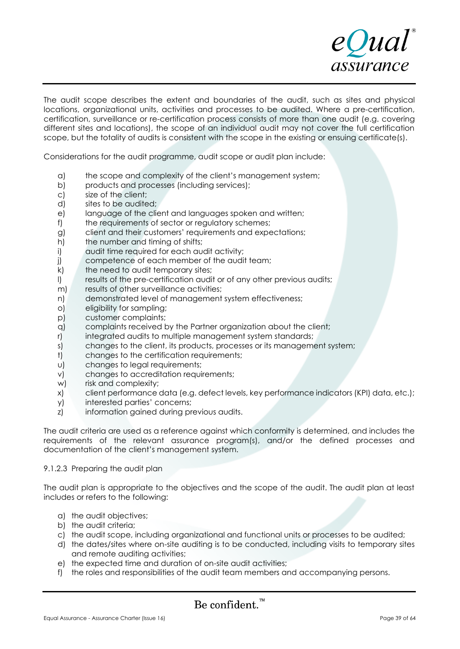

The audit scope describes the extent and boundaries of the audit, such as sites and physical locations, organizational units, activities and processes to be audited. Where a pre-certification, certification, surveillance or re-certification process consists of more than one audit (e.g. covering different sites and locations), the scope of an individual audit may not cover the full certification scope, but the totality of audits is consistent with the scope in the existing or ensuing certificate(s).

Considerations for the audit programme, audit scope or audit plan include:

- a) the scope and complexity of the client's management system;
- b) products and processes (including services);
- c) size of the client;
- d) sites to be audited;
- e) language of the client and languages spoken and written;
- f) the requirements of sector or regulatory schemes;
- g) client and their customers' requirements and expectations;
- h) the number and timing of shifts;
- i) audit time required for each audit activity;
- j) competence of each member of the audit team;
- k) the need to audit temporary sites;
- l) results of the pre-certification audit or of any other previous audits;
- m) results of other surveillance activities;
- n) demonstrated level of management system effectiveness;
- o) eligibility for sampling;
- p) customer complaints;
- q) complaints received by the Partner organization about the client;
- r) integrated audits to multiple management system standards;
- s) changes to the client, its products, processes or its management system;
- t) changes to the certification requirements;
- u) changes to legal requirements;
- v) changes to accreditation requirements;
- w) risk and complexity;
- x) client performance data (e.g. defect levels, key performance indicators (KPI) data, etc.);
- y) interested parties' concerns;
- z) information gained during previous audits.

The audit criteria are used as a reference against which conformity is determined, and includes the requirements of the relevant assurance program(s), and/or the defined processes and documentation of the client's management system.

### 9.1.2.3 Preparing the audit plan

The audit plan is appropriate to the objectives and the scope of the audit. The audit plan at least includes or refers to the following:

- a) the audit objectives;
- b) the audit criteria;
- c) the audit scope, including organizational and functional units or processes to be audited;
- d) the dates/sites where on-site auditing is to be conducted, including visits to temporary sites and remote auditing activities;
- e) the expected time and duration of on-site audit activities;
- f) the roles and responsibilities of the audit team members and accompanying persons.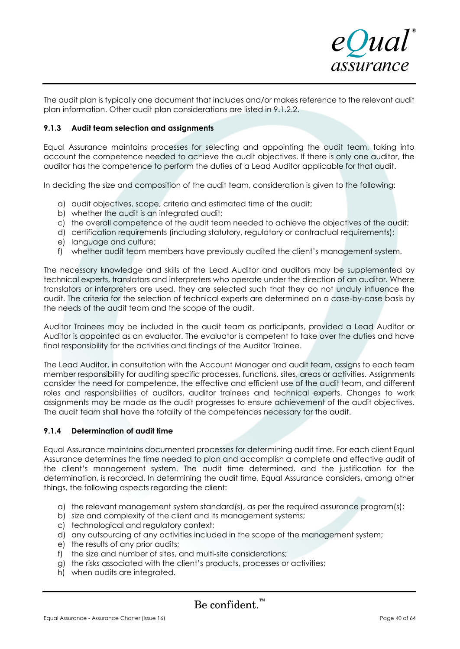

The audit plan is typically one document that includes and/or makes reference to the relevant audit plan information. Other audit plan considerations are listed in 9.1.2.2.

### **9.1.3 Audit team selection and assignments**

Equal Assurance maintains processes for selecting and appointing the audit team, taking into account the competence needed to achieve the audit objectives. If there is only one auditor, the auditor has the competence to perform the duties of a Lead Auditor applicable for that audit.

In deciding the size and composition of the audit team, consideration is given to the following:

- a) audit objectives, scope, criteria and estimated time of the audit;
- b) whether the audit is an integrated audit;
- c) the overall competence of the audit team needed to achieve the objectives of the audit;
- d) certification requirements (including statutory, regulatory or contractual requirements);
- e) language and culture;
- f) whether audit team members have previously audited the client's management system.

The necessary knowledge and skills of the Lead Auditor and auditors may be supplemented by technical experts, translators and interpreters who operate under the direction of an auditor. Where translators or interpreters are used, they are selected such that they do not unduly influence the audit. The criteria for the selection of technical experts are determined on a case-by-case basis by the needs of the audit team and the scope of the audit.

Auditor Trainees may be included in the audit team as participants, provided a Lead Auditor or Auditor is appointed as an evaluator. The evaluator is competent to take over the duties and have final responsibility for the activities and findings of the Auditor Trainee.

The Lead Auditor, in consultation with the Account Manager and audit team, assigns to each team member responsibility for auditing specific processes, functions, sites, areas or activities. Assignments consider the need for competence, the effective and efficient use of the audit team, and different roles and responsibilities of auditors, auditor trainees and technical experts. Changes to work assignments may be made as the audit progresses to ensure achievement of the audit objectives. The audit team shall have the totality of the competences necessary for the audit.

### **9.1.4 Determination of audit time**

Equal Assurance maintains documented processes for determining audit time. For each client Equal Assurance determines the time needed to plan and accomplish a complete and effective audit of the client's management system. The audit time determined, and the justification for the determination, is recorded. In determining the audit time, Equal Assurance considers, among other things, the following aspects regarding the client:

- a) the relevant management system standard(s), as per the required assurance program(s);
- b) size and complexity of the client and its management systems;
- c) technological and regulatory context;
- d) any outsourcing of any activities included in the scope of the management system;
- e) the results of any prior audits;
- f) the size and number of sites, and multi-site considerations;
- g) the risks associated with the client's products, processes or activities;
- h) when audits are integrated.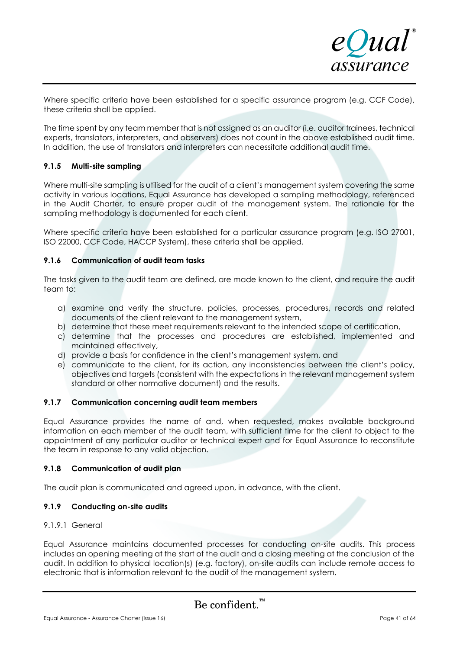

Where specific criteria have been established for a specific assurance program (e.g. CCF Code), these criteria shall be applied.

The time spent by any team member that is not assigned as an auditor (i.e. auditor trainees, technical experts, translators, interpreters, and observers) does not count in the above established audit time. In addition, the use of translators and interpreters can necessitate additional audit time.

### **9.1.5 Multi-site sampling**

Where multi-site sampling is utilised for the audit of a client's management system covering the same activity in various locations, Equal Assurance has developed a sampling methodology, referenced in the Audit Charter, to ensure proper audit of the management system. The rationale for the sampling methodology is documented for each client.

Where specific criteria have been established for a particular assurance program (e.g. ISO 27001, ISO 22000, CCF Code, HACCP System), these criteria shall be applied.

### **9.1.6 Communication of audit team tasks**

The tasks given to the audit team are defined, are made known to the client, and require the audit team to:

- a) examine and verify the structure, policies, processes, procedures, records and related documents of the client relevant to the management system,
- b) determine that these meet requirements relevant to the intended scope of certification,
- c) determine that the processes and procedures are established, implemented and maintained effectively,
- d) provide a basis for confidence in the client's management system, and
- e) communicate to the client, for its action, any inconsistencies between the client's policy, objectives and targets (consistent with the expectations in the relevant management system standard or other normative document) and the results.

### **9.1.7 Communication concerning audit team members**

Equal Assurance provides the name of and, when requested, makes available background information on each member of the audit team, with sufficient time for the client to object to the appointment of any particular auditor or technical expert and for Equal Assurance to reconstitute the team in response to any valid objection.

### **9.1.8 Communication of audit plan**

The audit plan is communicated and agreed upon, in advance, with the client.

### **9.1.9 Conducting on-site audits**

### 9.1.9.1 General

Equal Assurance maintains documented processes for conducting on-site audits. This process includes an opening meeting at the start of the audit and a closing meeting at the conclusion of the audit. In addition to physical location(s) (e.g. factory), on-site audits can include remote access to electronic that is information relevant to the audit of the management system.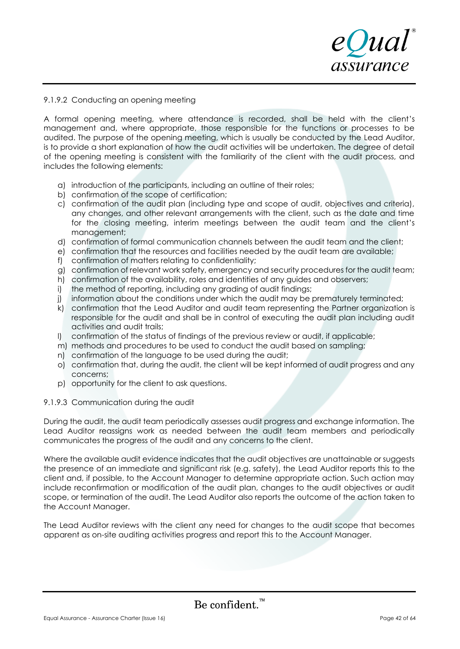# eQual assurance

### 9.1.9.2 Conducting an opening meeting

A formal opening meeting, where attendance is recorded, shall be held with the client's management and, where appropriate, those responsible for the functions or processes to be audited. The purpose of the opening meeting, which is usually be conducted by the Lead Auditor, is to provide a short explanation of how the audit activities will be undertaken. The degree of detail of the opening meeting is consistent with the familiarity of the client with the audit process, and includes the following elements:

- a) introduction of the participants, including an outline of their roles;
- b) confirmation of the scope of certification;
- c) confirmation of the audit plan (including type and scope of audit, objectives and criteria), any changes, and other relevant arrangements with the client, such as the date and time for the closing meeting, interim meetings between the audit team and the client's management;
- d) confirmation of formal communication channels between the audit team and the client;
- e) confirmation that the resources and facilities needed by the audit team are available;
- f) confirmation of matters relating to confidentiality;
- g) confirmation of relevant work safety, emergency and security procedures for the audit team;
- h) confirmation of the availability, roles and identities of any guides and observers;
- i) the method of reporting, including any grading of audit findings;
- j) information about the conditions under which the audit may be prematurely terminated;
- k) confirmation that the Lead Auditor and audit team representing the Partner organization is responsible for the audit and shall be in control of executing the audit plan including audit activities and audit trails;
- l) confirmation of the status of findings of the previous review or audit, if applicable;
- m) methods and procedures to be used to conduct the audit based on sampling;
- n) confirmation of the language to be used during the audit;
- o) confirmation that, during the audit, the client will be kept informed of audit progress and any concerns;
- p) opportunity for the client to ask questions.

### 9.1.9.3 Communication during the audit

During the audit, the audit team periodically assesses audit progress and exchange information. The Lead Auditor reassigns work as needed between the audit team members and periodically communicates the progress of the audit and any concerns to the client.

Where the available audit evidence indicates that the audit objectives are unattainable or suggests the presence of an immediate and significant risk (e.g. safety), the Lead Auditor reports this to the client and, if possible, to the Account Manager to determine appropriate action. Such action may include reconfirmation or modification of the audit plan, changes to the audit objectives or audit scope, or termination of the audit. The Lead Auditor also reports the outcome of the action taken to the Account Manager.

The Lead Auditor reviews with the client any need for changes to the audit scope that becomes apparent as on-site auditing activities progress and report this to the Account Manager.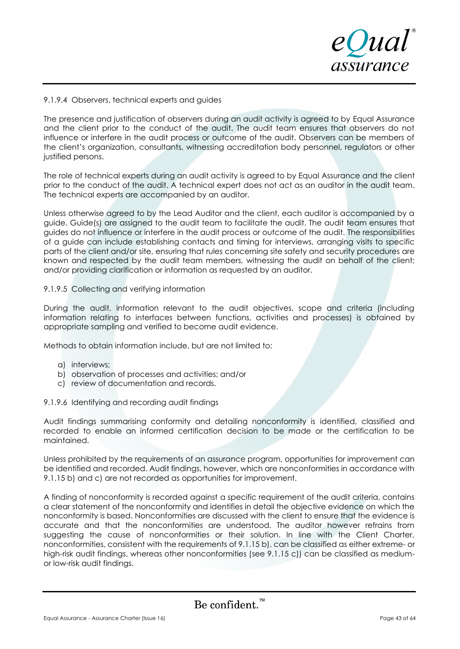

### 9.1.9.4 Observers, technical experts and guides

The presence and justification of observers during an audit activity is agreed to by Equal Assurance and the client prior to the conduct of the audit. The audit team ensures that observers do not influence or interfere in the audit process or outcome of the audit. Observers can be members of the client's organization, consultants, witnessing accreditation body personnel, regulators or other justified persons.

The role of technical experts during an audit activity is agreed to by Equal Assurance and the client prior to the conduct of the audit. A technical expert does not act as an auditor in the audit team. The technical experts are accompanied by an auditor.

Unless otherwise agreed to by the Lead Auditor and the client, each auditor is accompanied by a guide. Guide(s) are assigned to the audit team to facilitate the audit. The audit team ensures that guides do not influence or interfere in the audit process or outcome of the audit. The responsibilities of a guide can include establishing contacts and timing for interviews, arranging visits to specific parts of the client and/or site, ensuring that rules concerning site safety and security procedures are known and respected by the audit team members, witnessing the audit on behalf of the client; and/or providing clarification or information as requested by an auditor.

### 9.1.9.5 Collecting and verifying information

During the audit, information relevant to the audit objectives, scope and criteria (including information relating to interfaces between functions, activities and processes) is obtained by appropriate sampling and verified to become audit evidence.

Methods to obtain information include, but are not limited to:

- a) interviews;
- b) observation of processes and activities; and/or
- c) review of documentation and records.

9.1.9.6 Identifying and recording audit findings

Audit findings summarising conformity and detailing nonconformity is identified, classified and recorded to enable an informed certification decision to be made or the certification to be maintained.

Unless prohibited by the requirements of an assurance program, opportunities for improvement can be identified and recorded. Audit findings, however, which are nonconformities in accordance with 9.1.15 b) and c) are not recorded as opportunities for improvement.

A finding of nonconformity is recorded against a specific requirement of the audit criteria, contains a clear statement of the nonconformity and identifies in detail the objective evidence on which the nonconformity is based. Nonconformities are discussed with the client to ensure that the evidence is accurate and that the nonconformities are understood. The auditor however refrains from suggesting the cause of nonconformities or their solution. In line with the Client Charter, nonconformities, consistent with the requirements of 9.1.15 b), can be classified as either extreme- or high-risk audit findings, whereas other nonconformities (see 9.1.15 c)) can be classified as mediumor low-risk audit findings.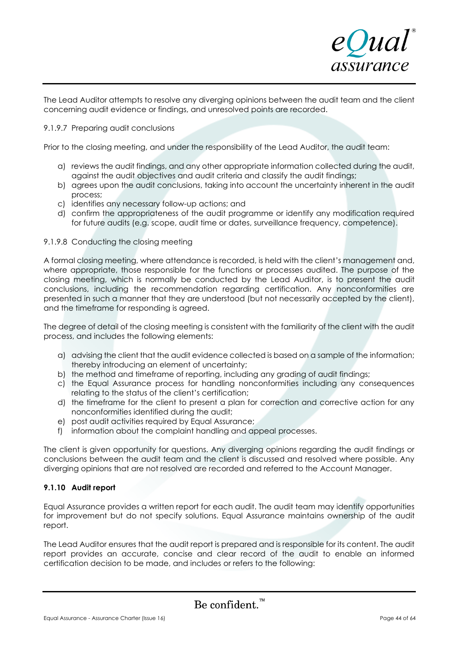

The Lead Auditor attempts to resolve any diverging opinions between the audit team and the client concerning audit evidence or findings, and unresolved points are recorded.

### 9.1.9.7 Preparing audit conclusions

Prior to the closing meeting, and under the responsibility of the Lead Auditor, the audit team:

- a) reviews the audit findings, and any other appropriate information collected during the audit, against the audit objectives and audit criteria and classify the audit findings;
- b) agrees upon the audit conclusions, taking into account the uncertainty inherent in the audit process;
- c) identifies any necessary follow-up actions; and
- d) confirm the appropriateness of the audit programme or identify any modification required for future audits (e.g. scope, audit time or dates, surveillance frequency, competence).

### 9.1.9.8 Conducting the closing meeting

A formal closing meeting, where attendance is recorded, is held with the client's management and, where appropriate, those responsible for the functions or processes audited. The purpose of the closing meeting, which is normally be conducted by the Lead Auditor, is to present the audit conclusions, including the recommendation regarding certification. Any nonconformities are presented in such a manner that they are understood (but not necessarily accepted by the client), and the timeframe for responding is agreed.

The degree of detail of the closing meeting is consistent with the familiarity of the client with the audit process, and includes the following elements:

- a) advising the client that the audit evidence collected is based on a sample of the information; thereby introducing an element of uncertainty;
- b) the method and timeframe of reporting, including any grading of audit findings;
- c) the Equal Assurance process for handling nonconformities including any consequences relating to the status of the client's certification;
- d) the timeframe for the client to present a plan for correction and corrective action for any nonconformities identified during the audit;
- e) post audit activities required by Equal Assurance;
- f) information about the complaint handling and appeal processes.

The client is given opportunity for questions. Any diverging opinions regarding the audit findings or conclusions between the audit team and the client is discussed and resolved where possible. Any diverging opinions that are not resolved are recorded and referred to the Account Manager.

### **9.1.10 Audit report**

Equal Assurance provides a written report for each audit. The audit team may identify opportunities for improvement but do not specify solutions. Equal Assurance maintains ownership of the audit report.

The Lead Auditor ensures that the audit report is prepared and is responsible for its content. The audit report provides an accurate, concise and clear record of the audit to enable an informed certification decision to be made, and includes or refers to the following: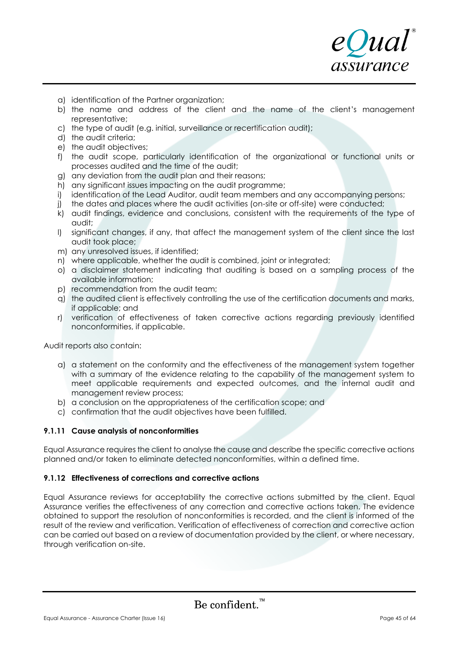- a) identification of the Partner organization;
- b) the name and address of the client and the name of the client's management representative;
- c) the type of audit (e.g. initial, surveillance or recertification audit);
- d) the audit criteria;
- e) the audit objectives;
- f) the audit scope, particularly identification of the organizational or functional units or processes audited and the time of the audit;
- g) any deviation from the audit plan and their reasons;
- h) any significant issues impacting on the audit programme;
- i) identification of the Lead Auditor, audit team members and any accompanying persons;
- j) the dates and places where the audit activities (on-site or off-site) were conducted;
- k) audit findings, evidence and conclusions, consistent with the requirements of the type of audit;
- l) significant changes, if any, that affect the management system of the client since the last audit took place;
- m) any unresolved issues, if identified;
- n) where applicable, whether the audit is combined, joint or integrated;
- o) a disclaimer statement indicating that auditing is based on a sampling process of the available information;
- p) recommendation from the audit team;
- q) the audited client is effectively controlling the use of the certification documents and marks, if applicable; and
- r) verification of effectiveness of taken corrective actions regarding previously identified nonconformities, if applicable.

Audit reports also contain:

- a) a statement on the conformity and the effectiveness of the management system together with a summary of the evidence relating to the capability of the management system to meet applicable requirements and expected outcomes, and the internal audit and management review process;
- b) a conclusion on the appropriateness of the certification scope; and
- c) confirmation that the audit objectives have been fulfilled.

### **9.1.11 Cause analysis of nonconformities**

Equal Assurance requires the client to analyse the cause and describe the specific corrective actions planned and/or taken to eliminate detected nonconformities, within a defined time.

### **9.1.12 Effectiveness of corrections and corrective actions**

Equal Assurance reviews for acceptability the corrective actions submitted by the client. Equal Assurance verifies the effectiveness of any correction and corrective actions taken. The evidence obtained to support the resolution of nonconformities is recorded, and the client is informed of the result of the review and verification. Verification of effectiveness of correction and corrective action can be carried out based on a review of documentation provided by the client, or where necessary, through verification on-site.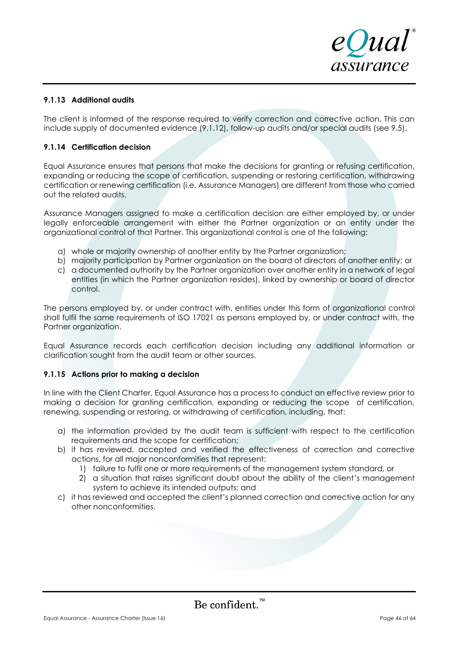

### **9.1.13 Additional audits**

The client is informed of the response required to verify correction and corrective action. This can include supply of documented evidence (9.1.12), follow-up audits and/or special audits (see 9.5).

### **9.1.14 Certification decision**

Equal Assurance ensures that persons that make the decisions for granting or refusing certification, expanding or reducing the scope of certification, suspending or restoring certification, withdrawing certification or renewing certification (i.e. Assurance Managers) are different from those who carried out the related audits.

Assurance Managers assigned to make a certification decision are either employed by, or under legally enforceable arrangement with either the Partner organization or an entity under the organizational control of that Partner. This organizational control is one of the following:

- a) whole or majority ownership of another entity by the Partner organization;
- b) majority participation by Partner organization on the board of directors of another entity; or
- c) a documented authority by the Partner organization over another entity in a network of legal entities (in which the Partner organization resides), linked by ownership or board of director control.

The persons employed by, or under contract with, entities under this form of organizational control shall fulfil the same requirements of ISO 17021 as persons employed by, or under contract with, the Partner organization.

Equal Assurance records each certification decision including any additional information or clarification sought from the audit team or other sources.

### **9.1.15 Actions prior to making a decision**

In line with the Client Charter, Equal Assurance has a process to conduct an effective review prior to making a decision for granting certification, expanding or reducing the scope of certification, renewing, suspending or restoring, or withdrawing of certification, including, that:

- a) the information provided by the audit team is sufficient with respect to the certification requirements and the scope for certification;
- b) it has reviewed, accepted and verified the effectiveness of correction and corrective actions, for all major nonconformities that represent:
	- 1) failure to fulfil one or more requirements of the management system standard, or
	- 2) a situation that raises significant doubt about the ability of the client's management system to achieve its intended outputs; and
- c) it has reviewed and accepted the client's planned correction and corrective action for any other nonconformities.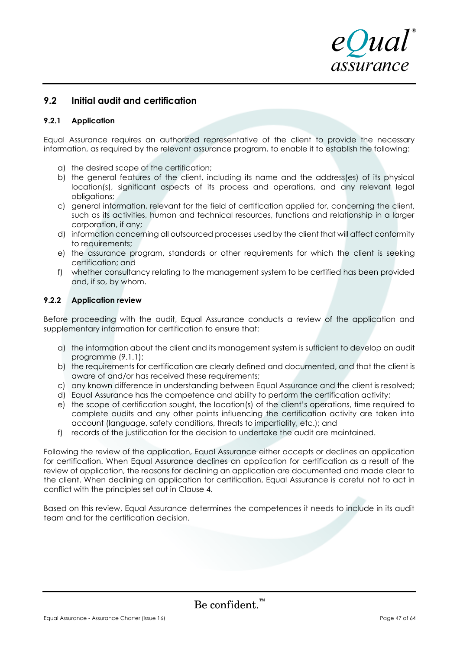

# **9.2 Initial audit and certification**

### **9.2.1 Application**

Equal Assurance requires an authorized representative of the client to provide the necessary information, as required by the relevant assurance program, to enable it to establish the following:

- a) the desired scope of the certification;
- b) the general features of the client, including its name and the address(es) of its physical location(s), significant aspects of its process and operations, and any relevant legal obligations;
- c) general information, relevant for the field of certification applied for, concerning the client, such as its activities, human and technical resources, functions and relationship in a larger corporation, if any;
- d) information concerning all outsourced processes used by the client that will affect conformity to requirements;
- e) the assurance program, standards or other requirements for which the client is seeking certification; and
- f) whether consultancy relating to the management system to be certified has been provided and, if so, by whom.

### **9.2.2 Application review**

Before proceeding with the audit, Equal Assurance conducts a review of the application and supplementary information for certification to ensure that:

- a) the information about the client and its management system is sufficient to develop an audit programme (9.1.1);
- b) the requirements for certification are clearly defined and documented, and that the client is aware of and/or has received these requirements;
- c) any known difference in understanding between Equal Assurance and the client is resolved;
- d) Equal Assurance has the competence and ability to perform the certification activity;
- e) the scope of certification sought, the location(s) of the client's operations, time required to complete audits and any other points influencing the certification activity are taken into account (language, safety conditions, threats to impartiality, etc.); and
- f) records of the justification for the decision to undertake the audit are maintained.

Following the review of the application, Equal Assurance either accepts or declines an application for certification. When Equal Assurance declines an application for certification as a result of the review of application, the reasons for declining an application are documented and made clear to the client. When declining an application for certification, Equal Assurance is careful not to act in conflict with the principles set out in Clause 4.

Based on this review, Equal Assurance determines the competences it needs to include in its audit team and for the certification decision.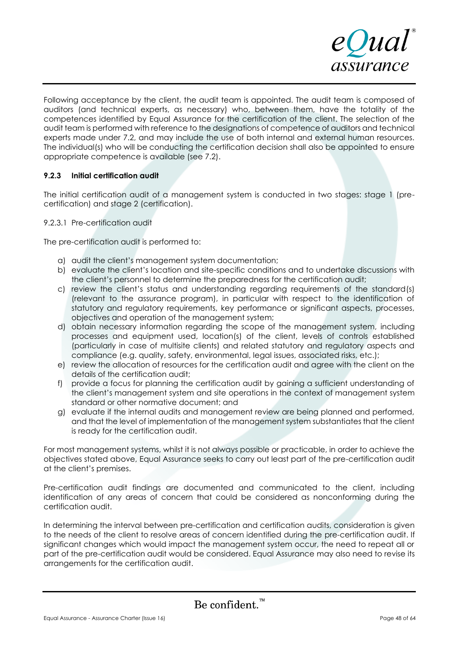

Following acceptance by the client, the audit team is appointed. The audit team is composed of auditors (and technical experts, as necessary) who, between them, have the totality of the competences identified by Equal Assurance for the certification of the client. The selection of the audit team is performed with reference to the designations of competence of auditors and technical experts made under 7.2, and may include the use of both internal and external human resources. The individual(s) who will be conducting the certification decision shall also be appointed to ensure appropriate competence is available (see 7.2).

### **9.2.3 Initial certification audit**

The initial certification audit of a management system is conducted in two stages: stage 1 (precertification) and stage 2 (certification).

### 9.2.3.1 Pre-certification audit

The pre-certification audit is performed to:

- a) audit the client's management system documentation;
- b) evaluate the client's location and site-specific conditions and to undertake discussions with the client's personnel to determine the preparedness for the certification audit;
- c) review the client's status and understanding regarding requirements of the standard(s) (relevant to the assurance program), in particular with respect to the identification of statutory and regulatory requirements, key performance or significant aspects, processes, objectives and operation of the management system;
- d) obtain necessary information regarding the scope of the management system, including processes and equipment used, location(s) of the client, levels of controls established (particularly in case of multisite clients) and related statutory and regulatory aspects and compliance (e.g. quality, safety, environmental, legal issues, associated risks, etc.);
- e) review the allocation of resources for the certification audit and agree with the client on the details of the certification audit;
- f) provide a focus for planning the certification audit by gaining a sufficient understanding of the client's management system and site operations in the context of management system standard or other normative document; and
- g) evaluate if the internal audits and management review are being planned and performed, and that the level of implementation of the management system substantiates that the client is ready for the certification audit.

For most management systems, whilst it is not always possible or practicable, in order to achieve the objectives stated above, Equal Assurance seeks to carry out least part of the pre-certification audit at the client's premises.

Pre-certification audit findings are documented and communicated to the client, including identification of any areas of concern that could be considered as nonconforming during the certification audit.

In determining the interval between pre-certification and certification audits, consideration is given to the needs of the client to resolve areas of concern identified during the pre-certification audit. If significant changes which would impact the management system occur, the need to repeat all or part of the pre-certification audit would be considered. Equal Assurance may also need to revise its arrangements for the certification audit.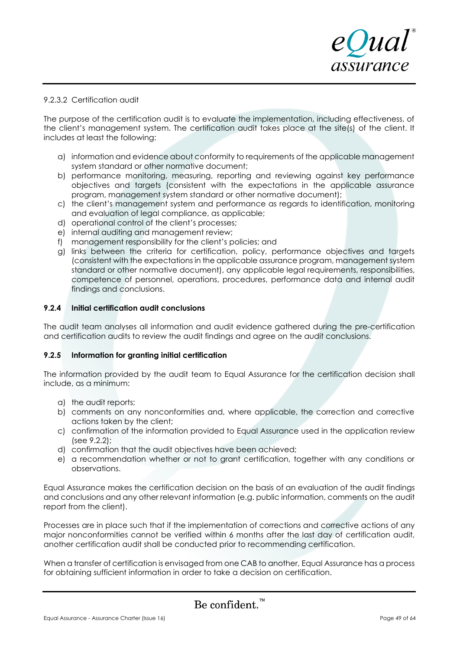

### 9.2.3.2 Certification audit

The purpose of the certification audit is to evaluate the implementation, including effectiveness, of the client's management system. The certification audit takes place at the site(s) of the client. It includes at least the following:

- a) information and evidence about conformity to requirements of the applicable management system standard or other normative document;
- b) performance monitoring, measuring, reporting and reviewing against key performance objectives and targets (consistent with the expectations in the applicable assurance program, management system standard or other normative document);
- c) the client's management system and performance as regards to identification, monitoring and evaluation of legal compliance, as applicable;
- d) operational control of the client's processes;
- e) internal auditing and management review;
- f) management responsibility for the client's policies; and
- g) links between the criteria for certification, policy, performance objectives and targets (consistent with the expectations in the applicable assurance program, management system standard or other normative document), any applicable legal requirements, responsibilities, competence of personnel, operations, procedures, performance data and internal audit findings and conclusions.

### **9.2.4 Initial certification audit conclusions**

The audit team analyses all information and audit evidence gathered during the pre-certification and certification audits to review the audit findings and agree on the audit conclusions.

### **9.2.5 Information for granting initial certification**

The information provided by the audit team to Equal Assurance for the certification decision shall include, as a minimum:

- a) the audit reports;
- b) comments on any nonconformities and, where applicable, the correction and corrective actions taken by the client;
- c) confirmation of the information provided to Equal Assurance used in the application review (see 9.2.2);
- d) confirmation that the audit objectives have been achieved;
- e) a recommendation whether or not to grant certification, together with any conditions or observations.

Equal Assurance makes the certification decision on the basis of an evaluation of the audit findings and conclusions and any other relevant information (e.g. public information, comments on the audit report from the client).

Processes are in place such that if the implementation of corrections and corrective actions of any major nonconformities cannot be verified within 6 months after the last day of certification audit, another certification audit shall be conducted prior to recommending certification.

When a transfer of certification is envisaged from one CAB to another, Equal Assurance has a process for obtaining sufficient information in order to take a decision on certification.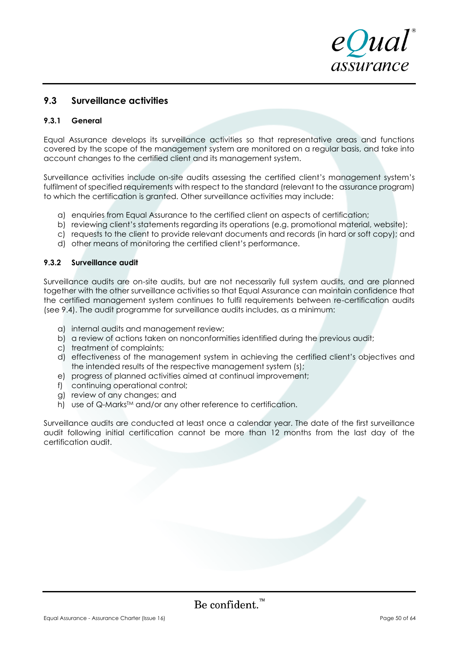

# **9.3 Surveillance activities**

### **9.3.1 General**

Equal Assurance develops its surveillance activities so that representative areas and functions covered by the scope of the management system are monitored on a regular basis, and take into account changes to the certified client and its management system.

Surveillance activities include on-site audits assessing the certified client's management system's fulfilment of specified requirements with respect to the standard (relevant to the assurance program) to which the certification is granted. Other surveillance activities may include:

- a) enquiries from Equal Assurance to the certified client on aspects of certification;
- b) reviewing client's statements regarding its operations (e.g. promotional material, website);
- c) requests to the client to provide relevant documents and records (in hard or soft copy); and
- d) other means of monitoring the certified client's performance.

### **9.3.2 Surveillance audit**

Surveillance audits are on-site audits, but are not necessarily full system audits, and are planned together with the other surveillance activities so that Equal Assurance can maintain confidence that the certified management system continues to fulfil requirements between re-certification audits (see 9.4). The audit programme for surveillance audits includes, as a minimum:

- a) internal audits and management review;
- b) a review of actions taken on nonconformities identified during the previous audit;
- c) treatment of complaints;
- d) effectiveness of the management system in achieving the certified client's objectives and the intended results of the respective management system (s);
- e) progress of planned activities aimed at continual improvement;
- f) continuing operational control;
- g) review of any changes; and
- h) use of Q-Marks<sup>™</sup> and/or any other reference to certification.

Surveillance audits are conducted at least once a calendar year. The date of the first surveillance audit following initial certification cannot be more than 12 months from the last day of the certification audit.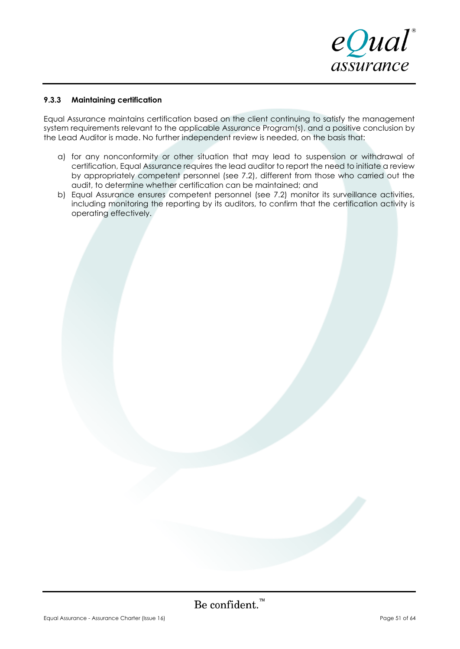

### **9.3.3 Maintaining certification**

Equal Assurance maintains certification based on the client continuing to satisfy the management system requirements relevant to the applicable Assurance Program(s), and a positive conclusion by the Lead Auditor is made. No further independent review is needed, on the basis that:

- a) for any nonconformity or other situation that may lead to suspension or withdrawal of certification, Equal Assurance requires the lead auditor to report the need to initiate a review by appropriately competent personnel (see 7.2), different from those who carried out the audit, to determine whether certification can be maintained; and
- b) Equal Assurance ensures competent personnel (see 7.2) monitor its surveillance activities, including monitoring the reporting by its auditors, to confirm that the certification activity is operating effectively.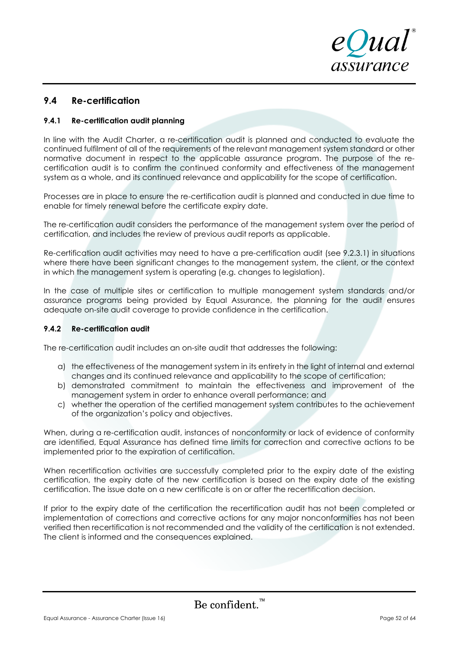

# **9.4 Re-certification**

### **9.4.1 Re-certification audit planning**

In line with the Audit Charter, a re-certification audit is planned and conducted to evaluate the continued fulfilment of all of the requirements of the relevant management system standard or other normative document in respect to the applicable assurance program. The purpose of the recertification audit is to confirm the continued conformity and effectiveness of the management system as a whole, and its continued relevance and applicability for the scope of certification.

Processes are in place to ensure the re-certification audit is planned and conducted in due time to enable for timely renewal before the certificate expiry date.

The re-certification audit considers the performance of the management system over the period of certification, and includes the review of previous audit reports as applicable.

Re-certification audit activities may need to have a pre-certification audit (see 9.2.3.1) in situations where there have been significant changes to the management system, the client, or the context in which the management system is operating (e.g. changes to legislation).

In the case of multiple sites or certification to multiple management system standards and/or assurance programs being provided by Equal Assurance, the planning for the audit ensures adequate on-site audit coverage to provide confidence in the certification.

### **9.4.2 Re-certification audit**

The re-certification audit includes an on-site audit that addresses the following:

- a) the effectiveness of the management system in its entirety in the light of internal and external changes and its continued relevance and applicability to the scope of certification;
- b) demonstrated commitment to maintain the effectiveness and improvement of the management system in order to enhance overall performance; and
- c) whether the operation of the certified management system contributes to the achievement of the organization's policy and objectives.

When, during a re-certification audit, instances of nonconformity or lack of evidence of conformity are identified, Equal Assurance has defined time limits for correction and corrective actions to be implemented prior to the expiration of certification.

When recertification activities are successfully completed prior to the expiry date of the existing certification, the expiry date of the new certification is based on the expiry date of the existing certification. The issue date on a new certificate is on or after the recertification decision.

If prior to the expiry date of the certification the recertification audit has not been completed or implementation of corrections and corrective actions for any major nonconformities has not been verified then recertification is not recommended and the validity of the certification is not extended. The client is informed and the consequences explained.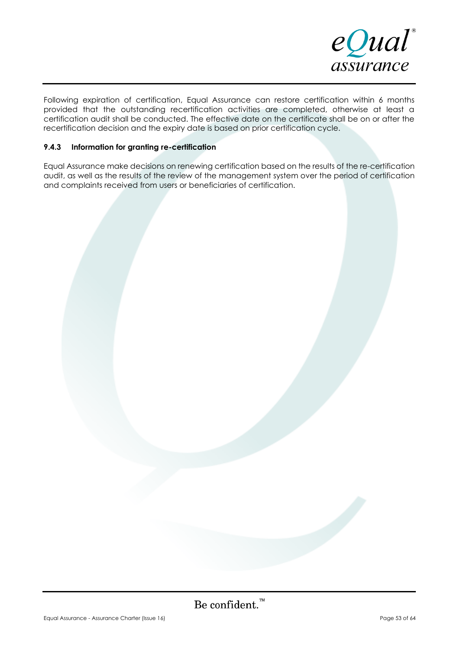

Following expiration of certification, Equal Assurance can restore certification within 6 months provided that the outstanding recertification activities are completed, otherwise at least a certification audit shall be conducted. The effective date on the certificate shall be on or after the recertification decision and the expiry date is based on prior certification cycle.

### **9.4.3 Information for granting re-certification**

Equal Assurance make decisions on renewing certification based on the results of the re-certification audit, as well as the results of the review of the management system over the period of certification and complaints received from users or beneficiaries of certification.

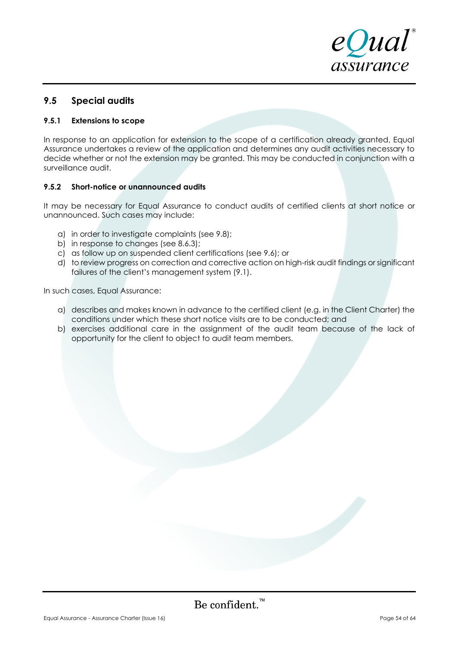

# **9.5 Special audits**

### **9.5.1 Extensions to scope**

In response to an application for extension to the scope of a certification already granted, Equal Assurance undertakes a review of the application and determines any audit activities necessary to decide whether or not the extension may be granted. This may be conducted in conjunction with a surveillance audit.

### **9.5.2 Short-notice or unannounced audits**

It may be necessary for Equal Assurance to conduct audits of certified clients at short notice or unannounced. Such cases may include:

- a) in order to investigate complaints (see 9.8);
- b) in response to changes (see 8.6.3);
- c) as follow up on suspended client certifications (see 9.6); or
- d) to review progress on correction and corrective action on high-risk audit findings or significant failures of the client's management system  $(9.1)$ .

In such cases, Equal Assurance:

- a) describes and makes known in advance to the certified client (e.g. in the Client Charter) the conditions under which these short notice visits are to be conducted; and
- b) exercises additional care in the assignment of the audit team because of the lack of opportunity for the client to object to audit team members.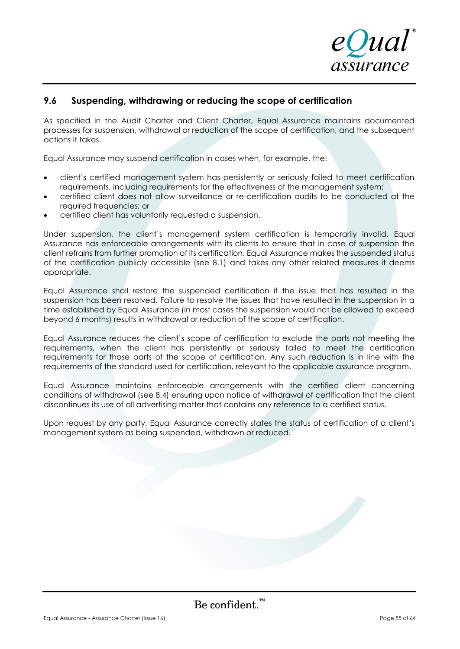

# **9.6 Suspending, withdrawing or reducing the scope of certification**

As specified in the Audit Charter and Client Charter, Equal Assurance maintains documented processes for suspension, withdrawal or reduction of the scope of certification, and the subsequent actions it takes.

Equal Assurance may suspend certification in cases when, for example, the:

- client's certified management system has persistently or seriously failed to meet certification requirements, including requirements for the effectiveness of the management system;
- certified client does not allow surveillance or re-certification audits to be conducted at the required frequencies; or
- certified client has voluntarily requested a suspension.

Under suspension, the client's management system certification is temporarily invalid. Equal Assurance has enforceable arrangements with its clients to ensure that in case of suspension the client refrains from further promotion of its certification. Equal Assurance makes the suspended status of the certification publicly accessible (see 8.1) and takes any other related measures it deems appropriate.

Equal Assurance shall restore the suspended certification if the issue that has resulted in the suspension has been resolved. Failure to resolve the issues that have resulted in the suspension in a time established by Equal Assurance (in most cases the suspension would not be allowed to exceed beyond 6 months) results in withdrawal or reduction of the scope of certification.

Equal Assurance reduces the client's scope of certification to exclude the parts not meeting the requirements, when the client has persistently or seriously failed to meet the certification requirements for those parts of the scope of certification. Any such reduction is in line with the requirements of the standard used for certification, relevant to the applicable assurance program.

Equal Assurance maintains enforceable arrangements with the certified client concerning conditions of withdrawal (see 8.4) ensuring upon notice of withdrawal of certification that the client discontinues its use of all advertising matter that contains any reference to a certified status.

Upon request by any party, Equal Assurance correctly states the status of certification of a client's management system as being suspended, withdrawn or reduced.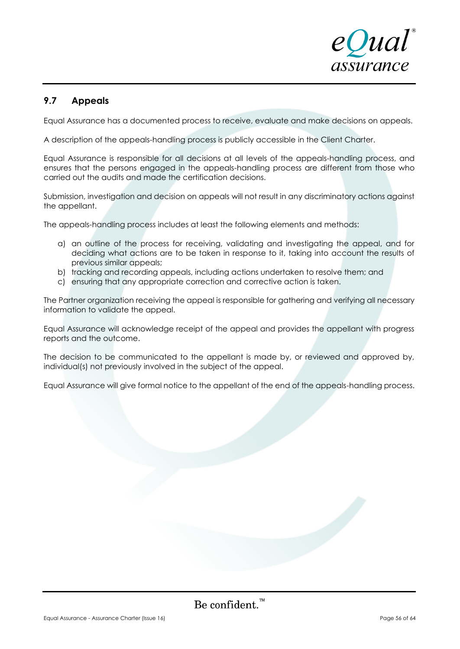

# **9.7 Appeals**

Equal Assurance has a documented process to receive, evaluate and make decisions on appeals.

A description of the appeals-handling process is publicly accessible in the Client Charter.

Equal Assurance is responsible for all decisions at all levels of the appeals-handling process, and ensures that the persons engaged in the appeals-handling process are different from those who carried out the audits and made the certification decisions.

Submission, investigation and decision on appeals will not result in any discriminatory actions against the appellant.

The appeals-handling process includes at least the following elements and methods:

- a) an outline of the process for receiving, validating and investigating the appeal, and for deciding what actions are to be taken in response to it, taking into account the results of previous similar appeals;
- b) tracking and recording appeals, including actions undertaken to resolve them; and
- c) ensuring that any appropriate correction and corrective action is taken.

The Partner organization receiving the appeal is responsible for gathering and verifying all necessary information to validate the appeal.

Equal Assurance will acknowledge receipt of the appeal and provides the appellant with progress reports and the outcome.

The decision to be communicated to the appellant is made by, or reviewed and approved by, individual(s) not previously involved in the subject of the appeal.

Equal Assurance will give formal notice to the appellant of the end of the appeals-handling process.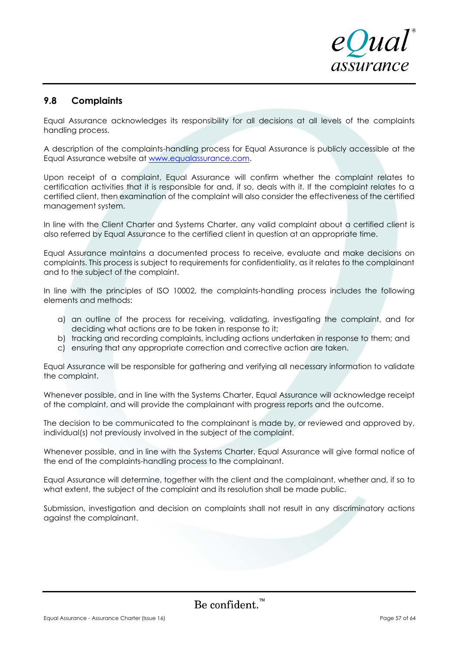

# **9.8 Complaints**

Equal Assurance acknowledges its responsibility for all decisions at all levels of the complaints handling process.

A description of the complaints-handling process for Equal Assurance is publicly accessible at the Equal Assurance website at [www.equalassurance.com.](http://www.equalassurance.com/)

Upon receipt of a complaint, Equal Assurance will confirm whether the complaint relates to certification activities that it is responsible for and, if so, deals with it. If the complaint relates to a certified client, then examination of the complaint will also consider the effectiveness of the certified management system.

In line with the Client Charter and Systems Charter, any valid complaint about a certified client is also referred by Equal Assurance to the certified client in question at an appropriate time.

Equal Assurance maintains a documented process to receive, evaluate and make decisions on complaints. This process is subject to requirements for confidentiality, as it relates to the complainant and to the subject of the complaint.

In line with the principles of ISO 10002, the complaints-handling process includes the following elements and methods:

- a) an outline of the process for receiving, validating, investigating the complaint, and for deciding what actions are to be taken in response to it;
- b) tracking and recording complaints, including actions undertaken in response to them; and
- c) ensuring that any appropriate correction and corrective action are taken.

Equal Assurance will be responsible for gathering and verifying all necessary information to validate the complaint.

Whenever possible, and in line with the Systems Charter, Equal Assurance will acknowledge receipt of the complaint, and will provide the complainant with progress reports and the outcome.

The decision to be communicated to the complainant is made by, or reviewed and approved by, individual(s) not previously involved in the subject of the complaint.

Whenever possible, and in line with the Systems Charter, Equal Assurance will give formal notice of the end of the complaints-handling process to the complainant.

Equal Assurance will determine, together with the client and the complainant, whether and, if so to what extent, the subject of the complaint and its resolution shall be made public.

Submission, investigation and decision on complaints shall not result in any discriminatory actions against the complainant.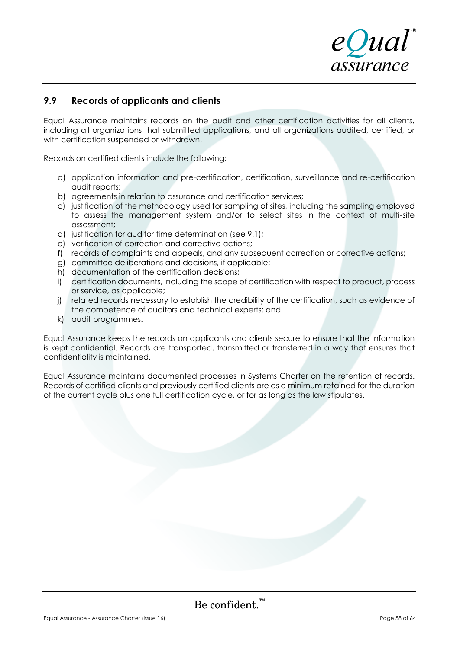

# **9.9 Records of applicants and clients**

Equal Assurance maintains records on the audit and other certification activities for all clients, including all organizations that submitted applications, and all organizations audited, certified, or with certification suspended or withdrawn.

Records on certified clients include the following:

- a) application information and pre-certification, certification, surveillance and re-certification audit reports;
- b) agreements in relation to assurance and certification services;
- c) justification of the methodology used for sampling of sites, including the sampling employed to assess the management system and/or to select sites in the context of multi-site assessment;
- d) justification for auditor time determination (see 9.1);
- e) verification of correction and corrective actions;
- f) records of complaints and appeals, and any subsequent correction or corrective actions;
- g) committee deliberations and decisions, if applicable;
- h) documentation of the certification decisions;
- i) certification documents, including the scope of certification with respect to product, process or service, as applicable;
- j) related records necessary to establish the credibility of the certification, such as evidence of the competence of auditors and technical experts; and
- k) audit programmes.

Equal Assurance keeps the records on applicants and clients secure to ensure that the information is kept confidential. Records are transported, transmitted or transferred in a way that ensures that confidentiality is maintained.

Equal Assurance maintains documented processes in Systems Charter on the retention of records. Records of certified clients and previously certified clients are as a minimum retained for the duration of the current cycle plus one full certification cycle, or for as long as the law stipulates.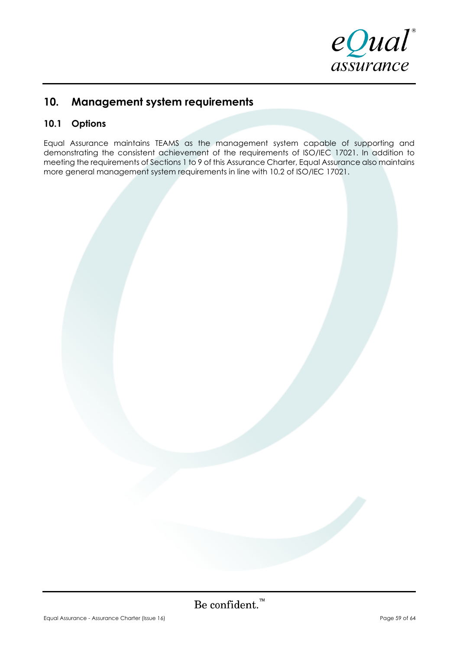

# **10. Management system requirements**

# **10.1 Options**

Equal Assurance maintains TEAMS as the management system capable of supporting and demonstrating the consistent achievement of the requirements of ISO/IEC 17021. In addition to meeting the requirements of Sections 1 to 9 of this Assurance Charter, Equal Assurance also maintains more general management system requirements in line with 10.2 of ISO/IEC 17021.

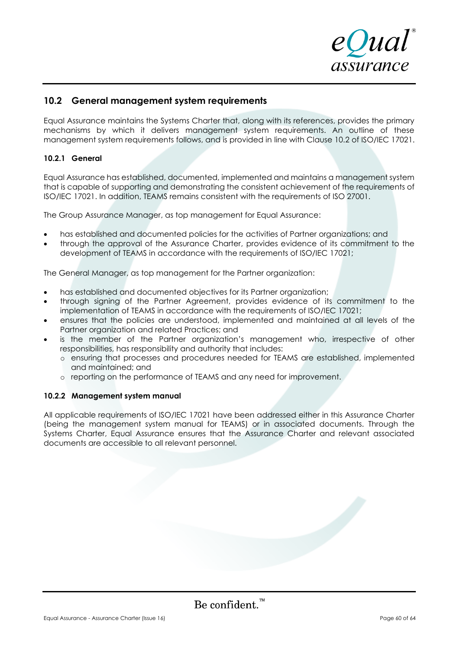

### **10.2 General management system requirements**

Equal Assurance maintains the Systems Charter that, along with its references, provides the primary mechanisms by which it delivers management system requirements. An outline of these management system requirements follows, and is provided in line with Clause 10.2 of ISO/IEC 17021.

### **10.2.1 General**

Equal Assurance has established, documented, implemented and maintains a management system that is capable of supporting and demonstrating the consistent achievement of the requirements of ISO/IEC 17021. In addition, TEAMS remains consistent with the requirements of ISO 27001.

The Group Assurance Manager, as top management for Equal Assurance:

- has established and documented policies for the activities of Partner organizations; and
- through the approval of the Assurance Charter, provides evidence of its commitment to the development of TEAMS in accordance with the requirements of ISO/IEC 17021;

The General Manager, as top management for the Partner organization:

- has established and documented objectives for its Partner organization;
- through signing of the Partner Agreement, provides evidence of its commitment to the implementation of TEAMS in accordance with the requirements of ISO/IEC 17021;
- ensures that the policies are understood, implemented and maintained at all levels of the Partner organization and related Practices; and
- is the member of the Partner organization's management who, irrespective of other responsibilities, has responsibility and authority that includes:
	- o ensuring that processes and procedures needed for TEAMS are established, implemented and maintained; and
	- o reporting on the performance of TEAMS and any need for improvement.

### **10.2.2 Management system manual**

All applicable requirements of ISO/IEC 17021 have been addressed either in this Assurance Charter (being the management system manual for TEAMS) or in associated documents. Through the Systems Charter, Equal Assurance ensures that the Assurance Charter and relevant associated documents are accessible to all relevant personnel.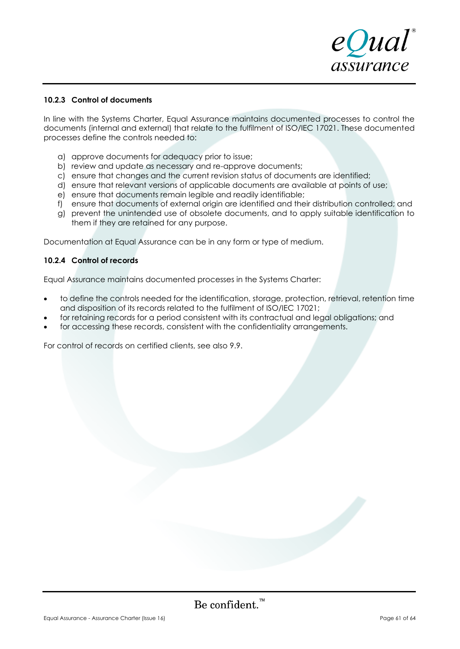

### **10.2.3 Control of documents**

In line with the Systems Charter, Equal Assurance maintains documented processes to control the documents (internal and external) that relate to the fulfilment of ISO/IEC 17021. These documented processes define the controls needed to:

- a) approve documents for adequacy prior to issue;
- b) review and update as necessary and re-approve documents;
- c) ensure that changes and the current revision status of documents are identified;
- d) ensure that relevant versions of applicable documents are available at points of use;
- e) ensure that documents remain legible and readily identifiable;
- f) ensure that documents of external origin are identified and their distribution controlled; and
- g) prevent the unintended use of obsolete documents, and to apply suitable identification to them if they are retained for any purpose.

Documentation at Equal Assurance can be in any form or type of medium.

### **10.2.4 Control of records**

Equal Assurance maintains documented processes in the Systems Charter:

- to define the controls needed for the identification, storage, protection, retrieval, retention time and disposition of its records related to the fulfilment of ISO/IEC 17021;
- for retaining records for a period consistent with its contractual and legal obligations; and
- for accessing these records, consistent with the confidentiality arrangements.

For control of records on certified clients, see also 9.9.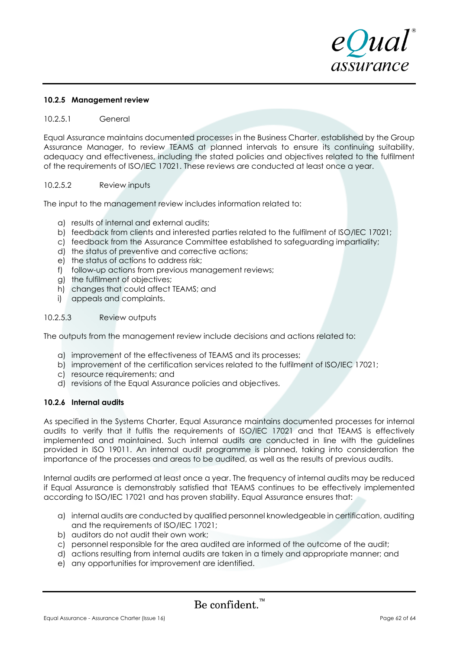

### **10.2.5 Management review**

### 10.2.5.1 General

Equal Assurance maintains documented processes in the Business Charter, established by the Group Assurance Manager, to review TEAMS at planned intervals to ensure its continuing suitability, adequacy and effectiveness, including the stated policies and objectives related to the fulfilment of the requirements of ISO/IEC 17021. These reviews are conducted at least once a year.

### 10.2.5.2 Review inputs

The input to the management review includes information related to:

- a) results of internal and external audits;
- b) feedback from clients and interested parties related to the fulfilment of ISO/IEC 17021;
- c) feedback from the Assurance Committee established to safeguarding impartiality;
- d) the status of preventive and corrective actions;
- e) the status of actions to address risk;
- f) follow-up actions from previous management reviews;
- g) the fulfilment of objectives;
- h) changes that could affect TEAMS; and
- i) appeals and complaints.

### 10.2.5.3 Review outputs

The outputs from the management review include decisions and actions related to:

- a) improvement of the effectiveness of TEAMS and its processes;
- b) improvement of the certification services related to the fulfilment of ISO/IEC 17021;
- c) resource requirements; and
- d) revisions of the Equal Assurance policies and objectives.

### **10.2.6 Internal audits**

As specified in the Systems Charter, Equal Assurance maintains documented processes for internal audits to verify that it fulfils the requirements of ISO/IEC 17021 and that TEAMS is effectively implemented and maintained. Such internal audits are conducted in line with the guidelines provided in ISO 19011. An internal audit programme is planned, taking into consideration the importance of the processes and areas to be audited, as well as the results of previous audits.

Internal audits are performed at least once a year. The frequency of internal audits may be reduced if Equal Assurance is demonstrably satisfied that TEAMS continues to be effectively implemented according to ISO/IEC 17021 and has proven stability. Equal Assurance ensures that:

- a) internal audits are conducted by qualified personnel knowledgeable in certification, auditing and the requirements of ISO/IEC 17021;
- b) auditors do not audit their own work;
- c) personnel responsible for the area audited are informed of the outcome of the audit;
- d) actions resulting from internal audits are taken in a timely and appropriate manner; and
- e) any opportunities for improvement are identified.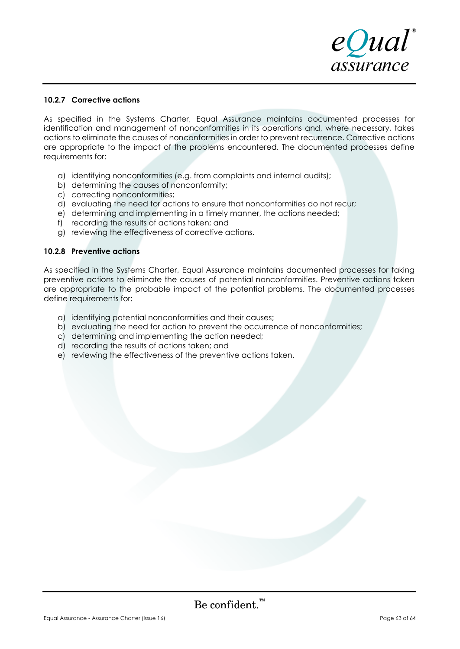

### **10.2.7 Corrective actions**

As specified in the Systems Charter, Equal Assurance maintains documented processes for identification and management of nonconformities in its operations and, where necessary, takes actions to eliminate the causes of nonconformities in order to prevent recurrence. Corrective actions are appropriate to the impact of the problems encountered. The documented processes define requirements for:

- a) identifying nonconformities (e.g. from complaints and internal audits);
- b) determining the causes of nonconformity;
- c) correcting nonconformities;
- d) evaluating the need for actions to ensure that nonconformities do not recur;
- e) determining and implementing in a timely manner, the actions needed;
- f) recording the results of actions taken; and
- g) reviewing the effectiveness of corrective actions.

### **10.2.8 Preventive actions**

As specified in the Systems Charter, Equal Assurance maintains documented processes for taking preventive actions to eliminate the causes of potential nonconformities. Preventive actions taken are appropriate to the probable impact of the potential problems. The documented processes define requirements for:

- a) identifying potential nonconformities and their causes;
- b) evaluating the need for action to prevent the occurrence of nonconformities;
- c) determining and implementing the action needed;
- d) recording the results of actions taken; and
- e) reviewing the effectiveness of the preventive actions taken.